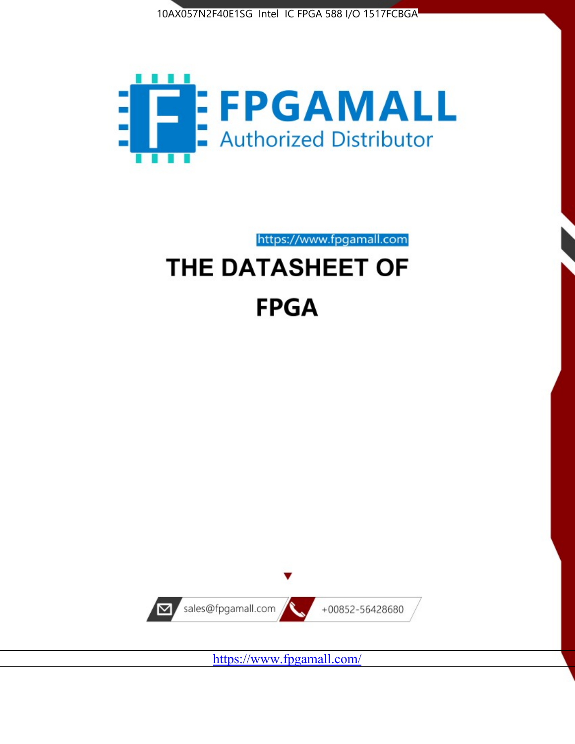



https://www.fpgamall.com

# THE DATASHEET OF **FPGA**



<https://www.fpgamall.com/>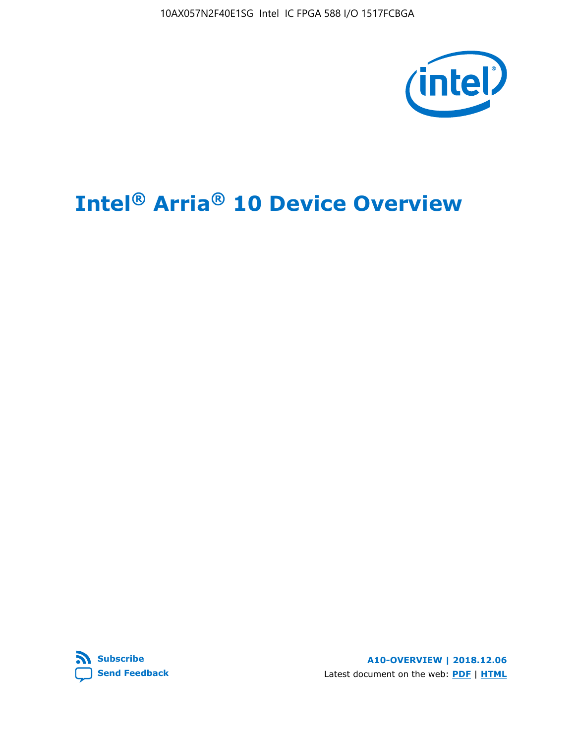10AX057N2F40E1SG Intel IC FPGA 588 I/O 1517FCBGA



# **Intel® Arria® 10 Device Overview**



**A10-OVERVIEW | 2018.12.06** Latest document on the web: **[PDF](https://www.intel.com/content/dam/www/programmable/us/en/pdfs/literature/hb/arria-10/a10_overview.pdf)** | **[HTML](https://www.intel.com/content/www/us/en/programmable/documentation/sam1403480274650.html)**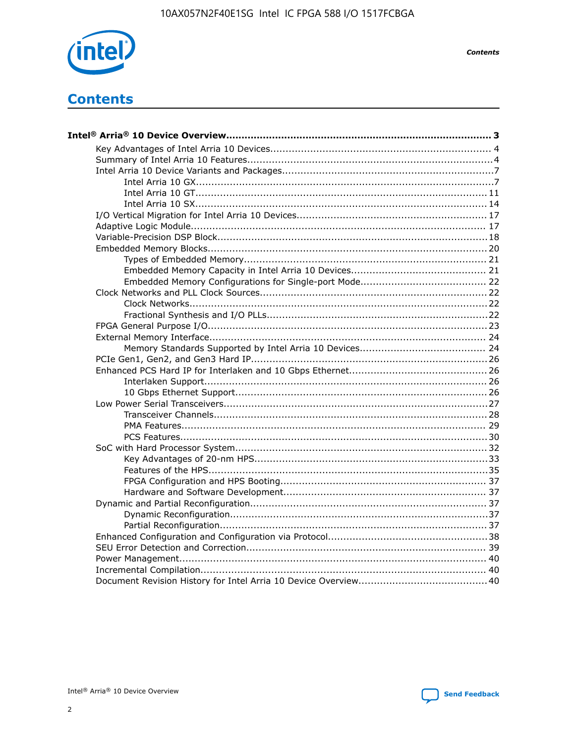

**Contents** 

# **Contents**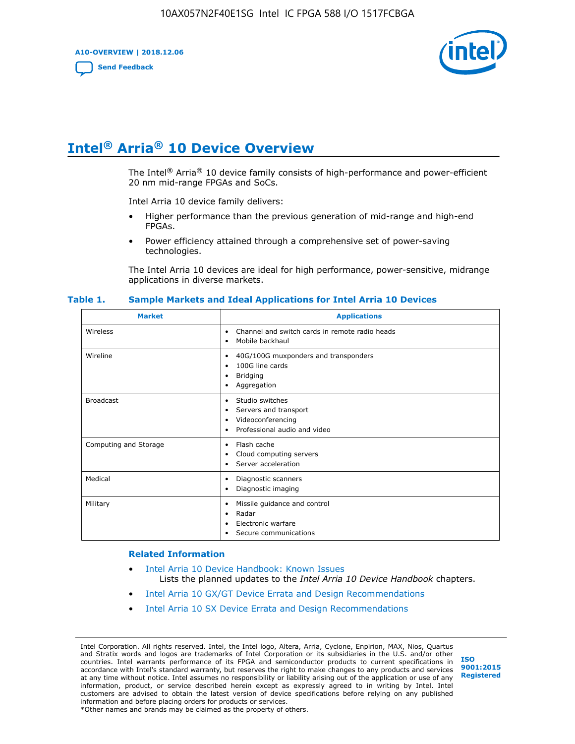**A10-OVERVIEW | 2018.12.06**

**[Send Feedback](mailto:FPGAtechdocfeedback@intel.com?subject=Feedback%20on%20Intel%20Arria%2010%20Device%20Overview%20(A10-OVERVIEW%202018.12.06)&body=We%20appreciate%20your%20feedback.%20In%20your%20comments,%20also%20specify%20the%20page%20number%20or%20paragraph.%20Thank%20you.)**



# **Intel® Arria® 10 Device Overview**

The Intel<sup>®</sup> Arria<sup>®</sup> 10 device family consists of high-performance and power-efficient 20 nm mid-range FPGAs and SoCs.

Intel Arria 10 device family delivers:

- Higher performance than the previous generation of mid-range and high-end FPGAs.
- Power efficiency attained through a comprehensive set of power-saving technologies.

The Intel Arria 10 devices are ideal for high performance, power-sensitive, midrange applications in diverse markets.

| <b>Market</b>         | <b>Applications</b>                                                                                               |
|-----------------------|-------------------------------------------------------------------------------------------------------------------|
| Wireless              | Channel and switch cards in remote radio heads<br>٠<br>Mobile backhaul<br>٠                                       |
| Wireline              | 40G/100G muxponders and transponders<br>٠<br>100G line cards<br>٠<br><b>Bridging</b><br>٠<br>Aggregation<br>٠     |
| <b>Broadcast</b>      | Studio switches<br>٠<br>Servers and transport<br>٠<br>Videoconferencing<br>٠<br>Professional audio and video<br>٠ |
| Computing and Storage | Flash cache<br>٠<br>Cloud computing servers<br>٠<br>Server acceleration<br>٠                                      |
| Medical               | Diagnostic scanners<br>٠<br>Diagnostic imaging<br>٠                                                               |
| Military              | Missile guidance and control<br>٠<br>Radar<br>٠<br>Electronic warfare<br>٠<br>Secure communications<br>٠          |

#### **Table 1. Sample Markets and Ideal Applications for Intel Arria 10 Devices**

#### **Related Information**

- [Intel Arria 10 Device Handbook: Known Issues](http://www.altera.com/support/kdb/solutions/rd07302013_646.html) Lists the planned updates to the *Intel Arria 10 Device Handbook* chapters.
- [Intel Arria 10 GX/GT Device Errata and Design Recommendations](https://www.intel.com/content/www/us/en/programmable/documentation/agz1493851706374.html#yqz1494433888646)
- [Intel Arria 10 SX Device Errata and Design Recommendations](https://www.intel.com/content/www/us/en/programmable/documentation/cru1462832385668.html#cru1462832558642)

Intel Corporation. All rights reserved. Intel, the Intel logo, Altera, Arria, Cyclone, Enpirion, MAX, Nios, Quartus and Stratix words and logos are trademarks of Intel Corporation or its subsidiaries in the U.S. and/or other countries. Intel warrants performance of its FPGA and semiconductor products to current specifications in accordance with Intel's standard warranty, but reserves the right to make changes to any products and services at any time without notice. Intel assumes no responsibility or liability arising out of the application or use of any information, product, or service described herein except as expressly agreed to in writing by Intel. Intel customers are advised to obtain the latest version of device specifications before relying on any published information and before placing orders for products or services. \*Other names and brands may be claimed as the property of others.

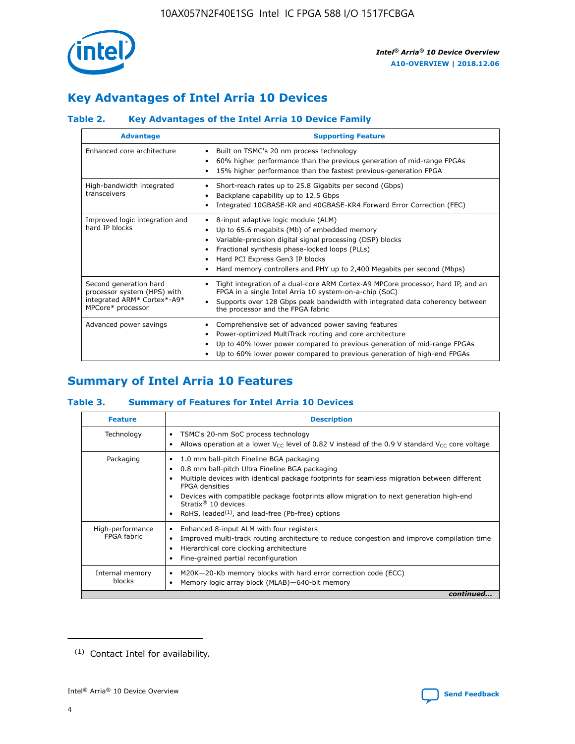

# **Key Advantages of Intel Arria 10 Devices**

# **Table 2. Key Advantages of the Intel Arria 10 Device Family**

| <b>Advantage</b>                                                                                          | <b>Supporting Feature</b>                                                                                                                                                                                                                                                                                                     |
|-----------------------------------------------------------------------------------------------------------|-------------------------------------------------------------------------------------------------------------------------------------------------------------------------------------------------------------------------------------------------------------------------------------------------------------------------------|
| Enhanced core architecture                                                                                | Built on TSMC's 20 nm process technology<br>$\bullet$<br>60% higher performance than the previous generation of mid-range FPGAs<br>٠<br>15% higher performance than the fastest previous-generation FPGA<br>٠                                                                                                                 |
| High-bandwidth integrated<br>transceivers                                                                 | Short-reach rates up to 25.8 Gigabits per second (Gbps)<br>٠<br>Backplane capability up to 12.5 Gbps<br>٠<br>Integrated 10GBASE-KR and 40GBASE-KR4 Forward Error Correction (FEC)<br>٠                                                                                                                                        |
| Improved logic integration and<br>hard IP blocks                                                          | 8-input adaptive logic module (ALM)<br>٠<br>Up to 65.6 megabits (Mb) of embedded memory<br>٠<br>Variable-precision digital signal processing (DSP) blocks<br>Fractional synthesis phase-locked loops (PLLs)<br>٠<br>Hard PCI Express Gen3 IP blocks<br>Hard memory controllers and PHY up to 2,400 Megabits per second (Mbps) |
| Second generation hard<br>processor system (HPS) with<br>integrated ARM* Cortex*-A9*<br>MPCore* processor | Tight integration of a dual-core ARM Cortex-A9 MPCore processor, hard IP, and an<br>٠<br>FPGA in a single Intel Arria 10 system-on-a-chip (SoC)<br>Supports over 128 Gbps peak bandwidth with integrated data coherency between<br>$\bullet$<br>the processor and the FPGA fabric                                             |
| Advanced power savings                                                                                    | Comprehensive set of advanced power saving features<br>٠<br>Power-optimized MultiTrack routing and core architecture<br>٠<br>Up to 40% lower power compared to previous generation of mid-range FPGAs<br>٠<br>Up to 60% lower power compared to previous generation of high-end FPGAs                                         |

# **Summary of Intel Arria 10 Features**

## **Table 3. Summary of Features for Intel Arria 10 Devices**

| <b>Feature</b>                  | <b>Description</b>                                                                                                                                                                                                                                                                                                                                                                                 |
|---------------------------------|----------------------------------------------------------------------------------------------------------------------------------------------------------------------------------------------------------------------------------------------------------------------------------------------------------------------------------------------------------------------------------------------------|
| Technology                      | TSMC's 20-nm SoC process technology<br>Allows operation at a lower $V_{\text{CC}}$ level of 0.82 V instead of the 0.9 V standard $V_{\text{CC}}$ core voltage                                                                                                                                                                                                                                      |
| Packaging                       | 1.0 mm ball-pitch Fineline BGA packaging<br>٠<br>0.8 mm ball-pitch Ultra Fineline BGA packaging<br>Multiple devices with identical package footprints for seamless migration between different<br><b>FPGA</b> densities<br>Devices with compatible package footprints allow migration to next generation high-end<br>Stratix $@10$ devices<br>RoHS, leaded $(1)$ , and lead-free (Pb-free) options |
| High-performance<br>FPGA fabric | Enhanced 8-input ALM with four registers<br>Improved multi-track routing architecture to reduce congestion and improve compilation time<br>Hierarchical core clocking architecture<br>Fine-grained partial reconfiguration                                                                                                                                                                         |
| Internal memory<br>blocks       | M20K-20-Kb memory blocks with hard error correction code (ECC)<br>Memory logic array block (MLAB)-640-bit memory                                                                                                                                                                                                                                                                                   |
|                                 | continued                                                                                                                                                                                                                                                                                                                                                                                          |



<sup>(1)</sup> Contact Intel for availability.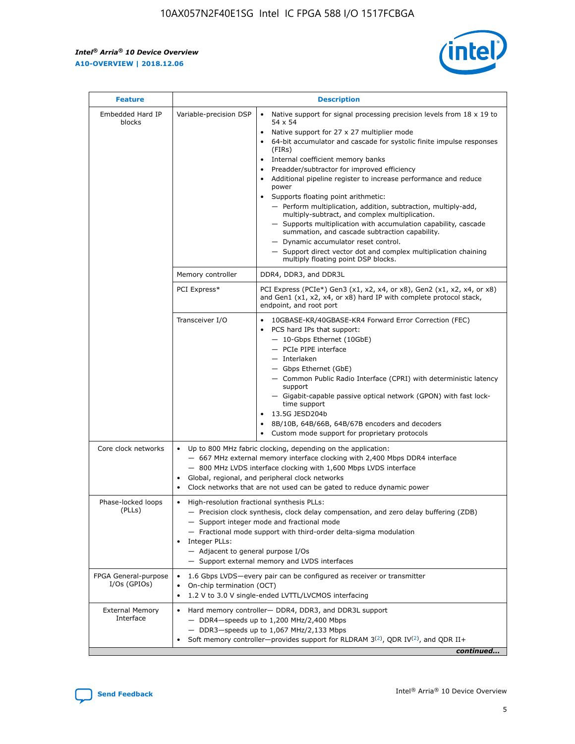$\mathsf{r}$ 



| <b>Feature</b>                         |                                                                                                                | <b>Description</b>                                                                                                                                                                                                                                                                                                                                                                                                                                                                                                                                                                                                                                                                                                                                                                                                                          |
|----------------------------------------|----------------------------------------------------------------------------------------------------------------|---------------------------------------------------------------------------------------------------------------------------------------------------------------------------------------------------------------------------------------------------------------------------------------------------------------------------------------------------------------------------------------------------------------------------------------------------------------------------------------------------------------------------------------------------------------------------------------------------------------------------------------------------------------------------------------------------------------------------------------------------------------------------------------------------------------------------------------------|
| Embedded Hard IP<br>blocks             | Variable-precision DSP                                                                                         | Native support for signal processing precision levels from $18 \times 19$ to<br>$\bullet$<br>54 x 54<br>Native support for 27 x 27 multiplier mode<br>64-bit accumulator and cascade for systolic finite impulse responses<br>(FIRs)<br>Internal coefficient memory banks<br>٠<br>Preadder/subtractor for improved efficiency<br>Additional pipeline register to increase performance and reduce<br>power<br>Supports floating point arithmetic:<br>- Perform multiplication, addition, subtraction, multiply-add,<br>multiply-subtract, and complex multiplication.<br>- Supports multiplication with accumulation capability, cascade<br>summation, and cascade subtraction capability.<br>- Dynamic accumulator reset control.<br>- Support direct vector dot and complex multiplication chaining<br>multiply floating point DSP blocks. |
|                                        | Memory controller                                                                                              | DDR4, DDR3, and DDR3L                                                                                                                                                                                                                                                                                                                                                                                                                                                                                                                                                                                                                                                                                                                                                                                                                       |
|                                        | PCI Express*                                                                                                   | PCI Express (PCIe*) Gen3 (x1, x2, x4, or x8), Gen2 (x1, x2, x4, or x8)<br>and Gen1 (x1, x2, x4, or x8) hard IP with complete protocol stack,<br>endpoint, and root port                                                                                                                                                                                                                                                                                                                                                                                                                                                                                                                                                                                                                                                                     |
|                                        | Transceiver I/O                                                                                                | 10GBASE-KR/40GBASE-KR4 Forward Error Correction (FEC)<br>PCS hard IPs that support:<br>- 10-Gbps Ethernet (10GbE)<br>- PCIe PIPE interface<br>- Interlaken<br>- Gbps Ethernet (GbE)<br>- Common Public Radio Interface (CPRI) with deterministic latency<br>support<br>- Gigabit-capable passive optical network (GPON) with fast lock-<br>time support<br>13.5G JESD204b<br>$\bullet$<br>8B/10B, 64B/66B, 64B/67B encoders and decoders<br>Custom mode support for proprietary protocols                                                                                                                                                                                                                                                                                                                                                   |
| Core clock networks                    | $\bullet$<br>$\bullet$                                                                                         | Up to 800 MHz fabric clocking, depending on the application:<br>- 667 MHz external memory interface clocking with 2,400 Mbps DDR4 interface<br>- 800 MHz LVDS interface clocking with 1,600 Mbps LVDS interface<br>Global, regional, and peripheral clock networks<br>Clock networks that are not used can be gated to reduce dynamic power                                                                                                                                                                                                                                                                                                                                                                                                                                                                                                 |
| Phase-locked loops<br>(PLLs)           | High-resolution fractional synthesis PLLs:<br>$\bullet$<br>Integer PLLs:<br>- Adjacent to general purpose I/Os | - Precision clock synthesis, clock delay compensation, and zero delay buffering (ZDB)<br>- Support integer mode and fractional mode<br>- Fractional mode support with third-order delta-sigma modulation<br>- Support external memory and LVDS interfaces                                                                                                                                                                                                                                                                                                                                                                                                                                                                                                                                                                                   |
| FPGA General-purpose<br>$I/Os$ (GPIOs) | On-chip termination (OCT)<br>$\bullet$                                                                         | 1.6 Gbps LVDS-every pair can be configured as receiver or transmitter<br>1.2 V to 3.0 V single-ended LVTTL/LVCMOS interfacing                                                                                                                                                                                                                                                                                                                                                                                                                                                                                                                                                                                                                                                                                                               |
| <b>External Memory</b><br>Interface    |                                                                                                                | Hard memory controller- DDR4, DDR3, and DDR3L support<br>$-$ DDR4-speeds up to 1,200 MHz/2,400 Mbps<br>- DDR3-speeds up to 1,067 MHz/2,133 Mbps<br>Soft memory controller—provides support for RLDRAM $3^{(2)}$ , QDR IV $(2^2)$ , and QDR II+<br>continued                                                                                                                                                                                                                                                                                                                                                                                                                                                                                                                                                                                 |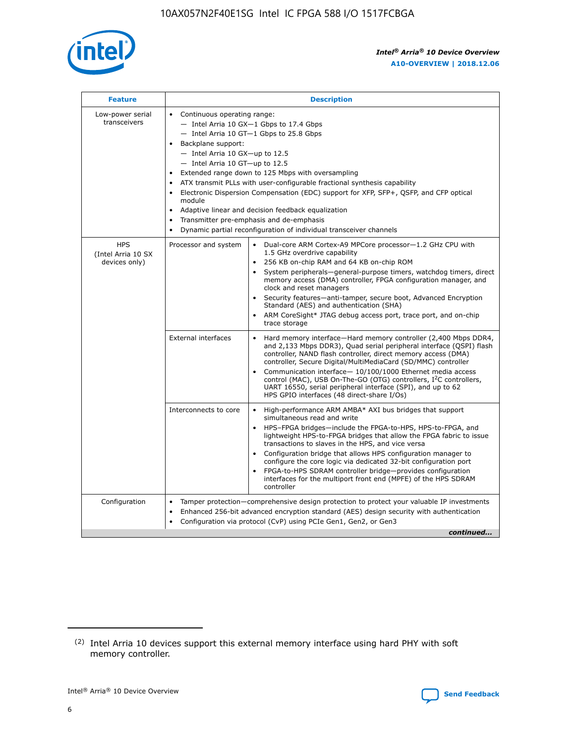

| <b>Feature</b>                                    | <b>Description</b>                                                                                                                                                                                                                                                                                                                                                                                                                                                                                                                                                                                                                             |  |  |  |  |  |  |  |
|---------------------------------------------------|------------------------------------------------------------------------------------------------------------------------------------------------------------------------------------------------------------------------------------------------------------------------------------------------------------------------------------------------------------------------------------------------------------------------------------------------------------------------------------------------------------------------------------------------------------------------------------------------------------------------------------------------|--|--|--|--|--|--|--|
| Low-power serial<br>transceivers                  | • Continuous operating range:<br>- Intel Arria 10 GX-1 Gbps to 17.4 Gbps<br>- Intel Arria 10 GT-1 Gbps to 25.8 Gbps<br>Backplane support:<br>$-$ Intel Arria 10 GX-up to 12.5<br>$-$ Intel Arria 10 GT-up to 12.5<br>Extended range down to 125 Mbps with oversampling<br>ATX transmit PLLs with user-configurable fractional synthesis capability<br>• Electronic Dispersion Compensation (EDC) support for XFP, SFP+, QSFP, and CFP optical<br>module<br>• Adaptive linear and decision feedback equalization<br>Transmitter pre-emphasis and de-emphasis<br>$\bullet$<br>Dynamic partial reconfiguration of individual transceiver channels |  |  |  |  |  |  |  |
| <b>HPS</b><br>(Intel Arria 10 SX<br>devices only) | Processor and system<br>Dual-core ARM Cortex-A9 MPCore processor-1.2 GHz CPU with<br>$\bullet$<br>1.5 GHz overdrive capability<br>256 KB on-chip RAM and 64 KB on-chip ROM<br>$\bullet$<br>System peripherals-general-purpose timers, watchdog timers, direct<br>memory access (DMA) controller, FPGA configuration manager, and<br>clock and reset managers<br>• Security features—anti-tamper, secure boot, Advanced Encryption<br>Standard (AES) and authentication (SHA)<br>ARM CoreSight* JTAG debug access port, trace port, and on-chip<br>trace storage                                                                                |  |  |  |  |  |  |  |
|                                                   | <b>External interfaces</b><br>Hard memory interface—Hard memory controller (2,400 Mbps DDR4,<br>$\bullet$<br>and 2,133 Mbps DDR3), Quad serial peripheral interface (QSPI) flash<br>controller, NAND flash controller, direct memory access (DMA)<br>controller, Secure Digital/MultiMediaCard (SD/MMC) controller<br>Communication interface-10/100/1000 Ethernet media access<br>control (MAC), USB On-The-GO (OTG) controllers, I <sup>2</sup> C controllers,<br>UART 16550, serial peripheral interface (SPI), and up to 62<br>HPS GPIO interfaces (48 direct-share I/Os)                                                                  |  |  |  |  |  |  |  |
|                                                   | High-performance ARM AMBA* AXI bus bridges that support<br>Interconnects to core<br>$\bullet$<br>simultaneous read and write<br>HPS-FPGA bridges—include the FPGA-to-HPS, HPS-to-FPGA, and<br>$\bullet$<br>lightweight HPS-to-FPGA bridges that allow the FPGA fabric to issue<br>transactions to slaves in the HPS, and vice versa<br>Configuration bridge that allows HPS configuration manager to<br>configure the core logic via dedicated 32-bit configuration port<br>FPGA-to-HPS SDRAM controller bridge-provides configuration<br>interfaces for the multiport front end (MPFE) of the HPS SDRAM<br>controller                         |  |  |  |  |  |  |  |
| Configuration                                     | Tamper protection—comprehensive design protection to protect your valuable IP investments<br>Enhanced 256-bit advanced encryption standard (AES) design security with authentication<br>$\bullet$<br>Configuration via protocol (CvP) using PCIe Gen1, Gen2, or Gen3<br>continued                                                                                                                                                                                                                                                                                                                                                              |  |  |  |  |  |  |  |

<sup>(2)</sup> Intel Arria 10 devices support this external memory interface using hard PHY with soft memory controller.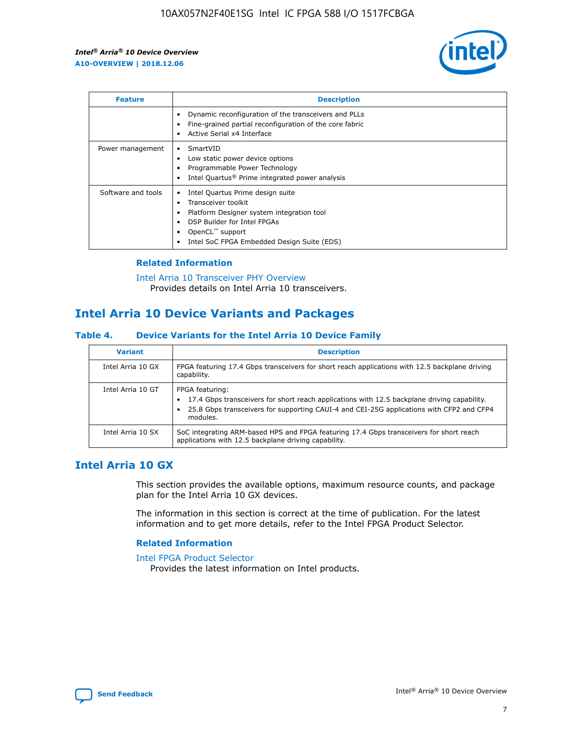

| <b>Feature</b>     | <b>Description</b>                                                                                                                                                                                                            |
|--------------------|-------------------------------------------------------------------------------------------------------------------------------------------------------------------------------------------------------------------------------|
|                    | Dynamic reconfiguration of the transceivers and PLLs<br>Fine-grained partial reconfiguration of the core fabric<br>Active Serial x4 Interface<br>$\bullet$                                                                    |
| Power management   | SmartVID<br>Low static power device options<br>Programmable Power Technology<br>Intel Quartus <sup>®</sup> Prime integrated power analysis                                                                                    |
| Software and tools | Intel Quartus Prime design suite<br>Transceiver toolkit<br>$\bullet$<br>Platform Designer system integration tool<br>DSP Builder for Intel FPGAs<br>OpenCL <sup>™</sup> support<br>Intel SoC FPGA Embedded Design Suite (EDS) |

## **Related Information**

[Intel Arria 10 Transceiver PHY Overview](https://www.intel.com/content/www/us/en/programmable/documentation/nik1398707230472.html#nik1398706768037) Provides details on Intel Arria 10 transceivers.

# **Intel Arria 10 Device Variants and Packages**

#### **Table 4. Device Variants for the Intel Arria 10 Device Family**

| <b>Variant</b>    | <b>Description</b>                                                                                                                                                                                                     |
|-------------------|------------------------------------------------------------------------------------------------------------------------------------------------------------------------------------------------------------------------|
| Intel Arria 10 GX | FPGA featuring 17.4 Gbps transceivers for short reach applications with 12.5 backplane driving<br>capability.                                                                                                          |
| Intel Arria 10 GT | FPGA featuring:<br>17.4 Gbps transceivers for short reach applications with 12.5 backplane driving capability.<br>25.8 Gbps transceivers for supporting CAUI-4 and CEI-25G applications with CFP2 and CFP4<br>modules. |
| Intel Arria 10 SX | SoC integrating ARM-based HPS and FPGA featuring 17.4 Gbps transceivers for short reach<br>applications with 12.5 backplane driving capability.                                                                        |

# **Intel Arria 10 GX**

This section provides the available options, maximum resource counts, and package plan for the Intel Arria 10 GX devices.

The information in this section is correct at the time of publication. For the latest information and to get more details, refer to the Intel FPGA Product Selector.

#### **Related Information**

#### [Intel FPGA Product Selector](http://www.altera.com/products/selector/psg-selector.html) Provides the latest information on Intel products.

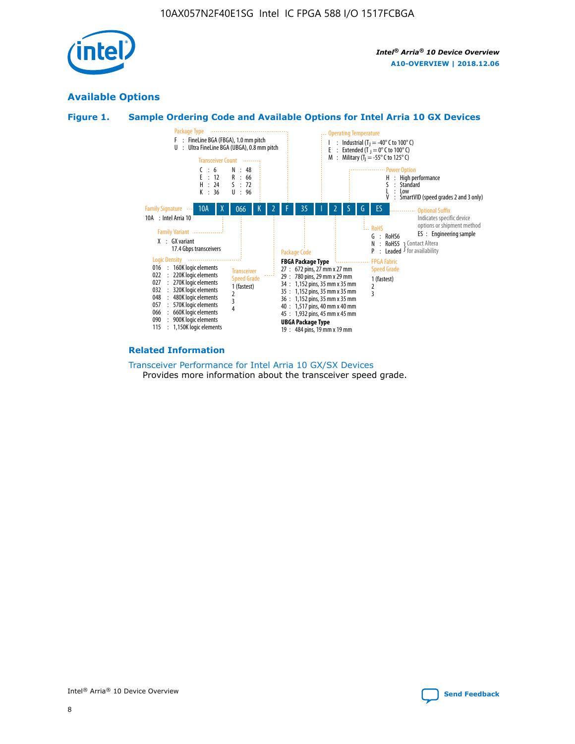

# **Available Options**





#### **Related Information**

[Transceiver Performance for Intel Arria 10 GX/SX Devices](https://www.intel.com/content/www/us/en/programmable/documentation/mcn1413182292568.html#mcn1413213965502) Provides more information about the transceiver speed grade.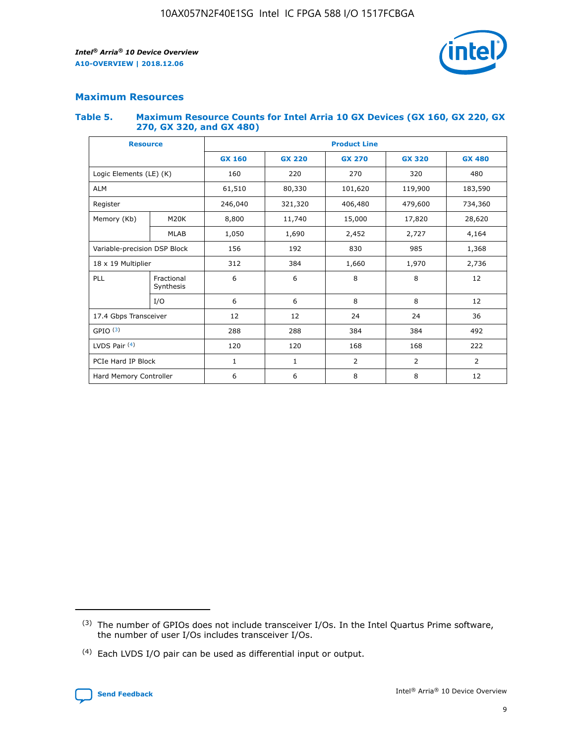

## **Maximum Resources**

#### **Table 5. Maximum Resource Counts for Intel Arria 10 GX Devices (GX 160, GX 220, GX 270, GX 320, and GX 480)**

| <b>Resource</b>              |                         | <b>Product Line</b> |                                                 |                |                |                |  |  |  |
|------------------------------|-------------------------|---------------------|-------------------------------------------------|----------------|----------------|----------------|--|--|--|
|                              |                         | <b>GX 160</b>       | <b>GX 220</b><br><b>GX 270</b><br><b>GX 320</b> |                |                | <b>GX 480</b>  |  |  |  |
| Logic Elements (LE) (K)      |                         | 160                 | 220                                             | 270            | 320            | 480            |  |  |  |
| <b>ALM</b>                   |                         | 61,510              | 80,330                                          | 101,620        | 119,900        | 183,590        |  |  |  |
| Register                     |                         | 246,040             | 321,320                                         | 406,480        | 479,600        | 734,360        |  |  |  |
| Memory (Kb)                  | M <sub>20</sub> K       | 8,800               | 11,740                                          | 15,000         | 17,820         | 28,620         |  |  |  |
|                              | <b>MLAB</b>             | 1,050               | 1,690                                           | 2,452          | 2,727          | 4,164          |  |  |  |
| Variable-precision DSP Block |                         | 156                 | 192                                             | 830<br>985     |                | 1,368          |  |  |  |
| 18 x 19 Multiplier           |                         | 312                 | 384                                             | 1,970<br>1,660 |                | 2,736          |  |  |  |
| PLL                          | Fractional<br>Synthesis | 6                   | 6                                               | 8              | 8              | 12             |  |  |  |
|                              | I/O                     | 6                   | 6                                               | 8              | 8              | 12             |  |  |  |
| 17.4 Gbps Transceiver        |                         | 12                  | 12                                              | 24             | 24             |                |  |  |  |
| GPIO <sup>(3)</sup>          |                         | 288                 | 288                                             | 384            | 384            | 492            |  |  |  |
| LVDS Pair $(4)$              |                         | 120                 | 120                                             | 168            | 168            | 222            |  |  |  |
| PCIe Hard IP Block           |                         | 1                   | 1                                               | 2              | $\overline{2}$ | $\overline{2}$ |  |  |  |
| Hard Memory Controller       |                         | 6                   | 6                                               | 8              | 8              | 12             |  |  |  |

<sup>(4)</sup> Each LVDS I/O pair can be used as differential input or output.



<sup>(3)</sup> The number of GPIOs does not include transceiver I/Os. In the Intel Quartus Prime software, the number of user I/Os includes transceiver I/Os.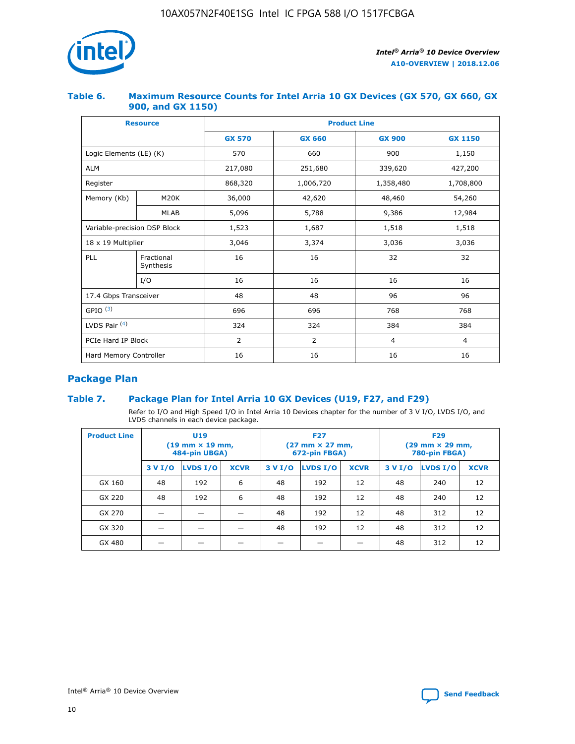

## **Table 6. Maximum Resource Counts for Intel Arria 10 GX Devices (GX 570, GX 660, GX 900, and GX 1150)**

|                              | <b>Resource</b>         | <b>Product Line</b> |                |                |                |  |  |  |  |
|------------------------------|-------------------------|---------------------|----------------|----------------|----------------|--|--|--|--|
|                              |                         | <b>GX 570</b>       | <b>GX 660</b>  | <b>GX 900</b>  | <b>GX 1150</b> |  |  |  |  |
| Logic Elements (LE) (K)      |                         | 570                 | 660            | 900            | 1,150          |  |  |  |  |
| <b>ALM</b>                   |                         | 217,080             | 251,680        | 339,620        | 427,200        |  |  |  |  |
| Register                     |                         | 868,320             | 1,006,720      | 1,358,480      | 1,708,800      |  |  |  |  |
| Memory (Kb)                  | <b>M20K</b>             | 36,000              | 42,620         | 48,460         | 54,260         |  |  |  |  |
|                              | <b>MLAB</b>             | 5,096               | 5,788<br>9,386 |                | 12,984         |  |  |  |  |
| Variable-precision DSP Block |                         | 1,523               | 1,687          | 1,518          | 1,518          |  |  |  |  |
| $18 \times 19$ Multiplier    |                         | 3,046               | 3,374          | 3,036          | 3,036          |  |  |  |  |
| PLL                          | Fractional<br>Synthesis | 16                  | 16             | 32             | 32             |  |  |  |  |
|                              | I/O                     | 16                  | 16             | 16             | 16             |  |  |  |  |
| 17.4 Gbps Transceiver        |                         | 48                  | 48             | 96             | 96             |  |  |  |  |
| GPIO <sup>(3)</sup>          |                         | 696                 | 696            | 768            | 768            |  |  |  |  |
| LVDS Pair $(4)$              |                         | 324                 | 324            |                | 384            |  |  |  |  |
| PCIe Hard IP Block           |                         | 2                   | 2              | $\overline{4}$ | $\overline{4}$ |  |  |  |  |
| Hard Memory Controller       |                         | 16                  | 16             | 16             | 16             |  |  |  |  |

# **Package Plan**

## **Table 7. Package Plan for Intel Arria 10 GX Devices (U19, F27, and F29)**

Refer to I/O and High Speed I/O in Intel Arria 10 Devices chapter for the number of 3 V I/O, LVDS I/O, and LVDS channels in each device package.

| <b>Product Line</b> | U <sub>19</sub><br>$(19 \text{ mm} \times 19 \text{ mm})$<br>484-pin UBGA) |          |             |         | <b>F27</b><br>(27 mm × 27 mm,<br>672-pin FBGA) |             | <b>F29</b><br>(29 mm × 29 mm,<br>780-pin FBGA) |          |             |  |
|---------------------|----------------------------------------------------------------------------|----------|-------------|---------|------------------------------------------------|-------------|------------------------------------------------|----------|-------------|--|
|                     | 3 V I/O                                                                    | LVDS I/O | <b>XCVR</b> | 3 V I/O | LVDS I/O                                       | <b>XCVR</b> | 3 V I/O                                        | LVDS I/O | <b>XCVR</b> |  |
| GX 160              | 48                                                                         | 192      | 6           | 48      | 192                                            | 12          | 48                                             | 240      | 12          |  |
| GX 220              | 48                                                                         | 192      | 6           | 48      | 192                                            | 12          | 48                                             | 240      | 12          |  |
| GX 270              |                                                                            |          |             | 48      | 192                                            | 12          | 48                                             | 312      | 12          |  |
| GX 320              |                                                                            |          |             | 48      | 192                                            | 12          | 48                                             | 312      | 12          |  |
| GX 480              |                                                                            |          |             |         |                                                |             | 48                                             | 312      | 12          |  |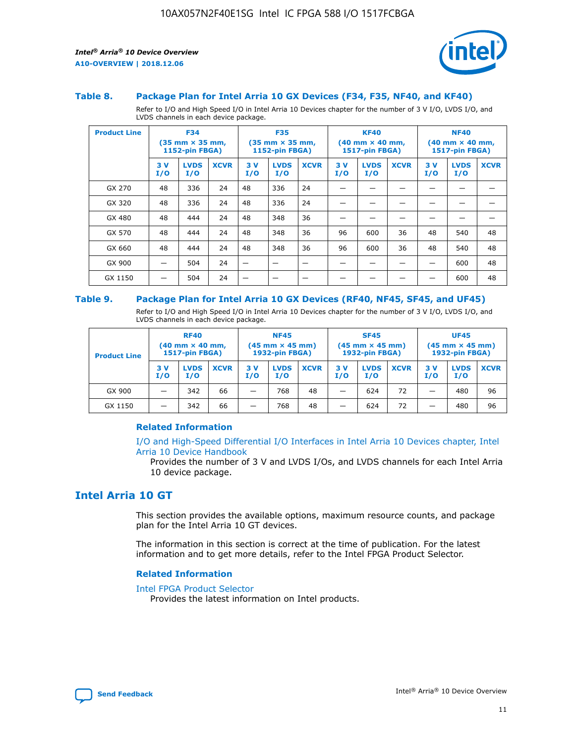

#### **Table 8. Package Plan for Intel Arria 10 GX Devices (F34, F35, NF40, and KF40)**

Refer to I/O and High Speed I/O in Intel Arria 10 Devices chapter for the number of 3 V I/O, LVDS I/O, and LVDS channels in each device package.

| <b>Product Line</b> | <b>F34</b><br>$(35 \text{ mm} \times 35 \text{ mm})$<br><b>1152-pin FBGA)</b> |                    | <b>F35</b><br>$(35 \text{ mm} \times 35 \text{ mm})$<br><b>1152-pin FBGA)</b> |           | <b>KF40</b><br>$(40$ mm $\times$ 40 mm,<br>1517-pin FBGA) |             |           | <b>NF40</b><br>$(40 \text{ mm} \times 40 \text{ mm})$<br>1517-pin FBGA) |             |           |                    |             |
|---------------------|-------------------------------------------------------------------------------|--------------------|-------------------------------------------------------------------------------|-----------|-----------------------------------------------------------|-------------|-----------|-------------------------------------------------------------------------|-------------|-----------|--------------------|-------------|
|                     | 3V<br>I/O                                                                     | <b>LVDS</b><br>I/O | <b>XCVR</b>                                                                   | 3V<br>I/O | <b>LVDS</b><br>I/O                                        | <b>XCVR</b> | 3V<br>I/O | <b>LVDS</b><br>I/O                                                      | <b>XCVR</b> | 3V<br>I/O | <b>LVDS</b><br>I/O | <b>XCVR</b> |
| GX 270              | 48                                                                            | 336                | 24                                                                            | 48        | 336                                                       | 24          |           |                                                                         |             |           |                    |             |
| GX 320              | 48                                                                            | 336                | 24                                                                            | 48        | 336                                                       | 24          |           |                                                                         |             |           |                    |             |
| GX 480              | 48                                                                            | 444                | 24                                                                            | 48        | 348                                                       | 36          |           |                                                                         |             |           |                    |             |
| GX 570              | 48                                                                            | 444                | 24                                                                            | 48        | 348                                                       | 36          | 96        | 600                                                                     | 36          | 48        | 540                | 48          |
| GX 660              | 48                                                                            | 444                | 24                                                                            | 48        | 348                                                       | 36          | 96        | 600                                                                     | 36          | 48        | 540                | 48          |
| GX 900              |                                                                               | 504                | 24                                                                            | –         |                                                           | -           |           |                                                                         |             |           | 600                | 48          |
| GX 1150             |                                                                               | 504                | 24                                                                            |           |                                                           |             |           |                                                                         |             |           | 600                | 48          |

#### **Table 9. Package Plan for Intel Arria 10 GX Devices (RF40, NF45, SF45, and UF45)**

Refer to I/O and High Speed I/O in Intel Arria 10 Devices chapter for the number of 3 V I/O, LVDS I/O, and LVDS channels in each device package.

| <b>Product Line</b> | <b>RF40</b><br>$(40$ mm $\times$ 40 mm,<br>1517-pin FBGA) |                    | <b>NF45</b><br>$(45 \text{ mm} \times 45 \text{ mm})$<br><b>1932-pin FBGA)</b> |            |                    | <b>SF45</b><br>$(45 \text{ mm} \times 45 \text{ mm})$<br><b>1932-pin FBGA)</b> |            |                    | <b>UF45</b><br>$(45 \text{ mm} \times 45 \text{ mm})$<br><b>1932-pin FBGA)</b> |           |                    |             |
|---------------------|-----------------------------------------------------------|--------------------|--------------------------------------------------------------------------------|------------|--------------------|--------------------------------------------------------------------------------|------------|--------------------|--------------------------------------------------------------------------------|-----------|--------------------|-------------|
|                     | 3V<br>I/O                                                 | <b>LVDS</b><br>I/O | <b>XCVR</b>                                                                    | 3 V<br>I/O | <b>LVDS</b><br>I/O | <b>XCVR</b>                                                                    | 3 V<br>I/O | <b>LVDS</b><br>I/O | <b>XCVR</b>                                                                    | 3V<br>I/O | <b>LVDS</b><br>I/O | <b>XCVR</b> |
| GX 900              |                                                           | 342                | 66                                                                             | _          | 768                | 48                                                                             |            | 624                | 72                                                                             |           | 480                | 96          |
| GX 1150             |                                                           | 342                | 66                                                                             | _          | 768                | 48                                                                             |            | 624                | 72                                                                             |           | 480                | 96          |

#### **Related Information**

[I/O and High-Speed Differential I/O Interfaces in Intel Arria 10 Devices chapter, Intel](https://www.intel.com/content/www/us/en/programmable/documentation/sam1403482614086.html#sam1403482030321) [Arria 10 Device Handbook](https://www.intel.com/content/www/us/en/programmable/documentation/sam1403482614086.html#sam1403482030321)

Provides the number of 3 V and LVDS I/Os, and LVDS channels for each Intel Arria 10 device package.

# **Intel Arria 10 GT**

This section provides the available options, maximum resource counts, and package plan for the Intel Arria 10 GT devices.

The information in this section is correct at the time of publication. For the latest information and to get more details, refer to the Intel FPGA Product Selector.

#### **Related Information**

#### [Intel FPGA Product Selector](http://www.altera.com/products/selector/psg-selector.html)

Provides the latest information on Intel products.

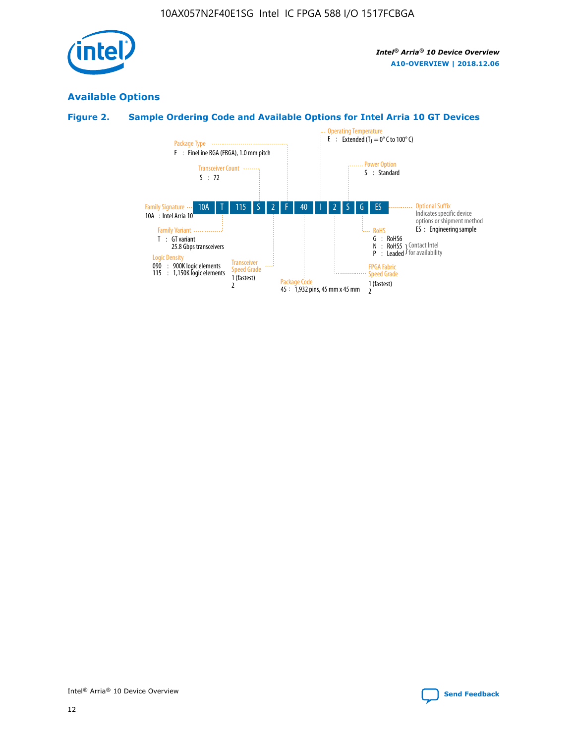

# **Available Options**

# **Figure 2. Sample Ordering Code and Available Options for Intel Arria 10 GT Devices**

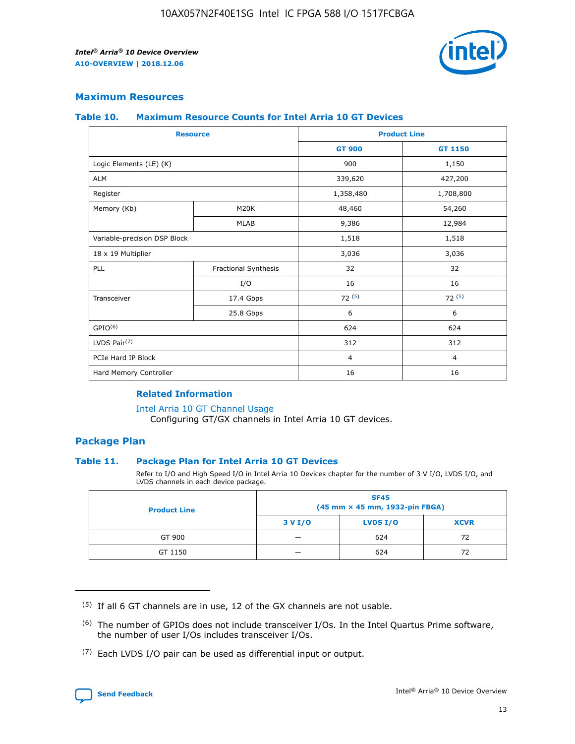

## **Maximum Resources**

#### **Table 10. Maximum Resource Counts for Intel Arria 10 GT Devices**

| <b>Resource</b>              |                      |                | <b>Product Line</b> |  |
|------------------------------|----------------------|----------------|---------------------|--|
|                              |                      | <b>GT 900</b>  | <b>GT 1150</b>      |  |
| Logic Elements (LE) (K)      |                      | 900            | 1,150               |  |
| <b>ALM</b>                   |                      | 339,620        | 427,200             |  |
| Register                     |                      | 1,358,480      | 1,708,800           |  |
| Memory (Kb)                  | M20K                 | 48,460         | 54,260              |  |
|                              | <b>MLAB</b>          | 9,386          | 12,984              |  |
| Variable-precision DSP Block |                      | 1,518          | 1,518               |  |
| 18 x 19 Multiplier           |                      | 3,036          | 3,036               |  |
| <b>PLL</b>                   | Fractional Synthesis | 32             | 32                  |  |
|                              | I/O                  | 16             | 16                  |  |
| Transceiver                  | 17.4 Gbps            | 72(5)          | 72(5)               |  |
|                              | 25.8 Gbps            | 6              | 6                   |  |
| GPIO <sup>(6)</sup>          |                      | 624            | 624                 |  |
| LVDS Pair $(7)$              |                      | 312            | 312                 |  |
| PCIe Hard IP Block           |                      | $\overline{4}$ | $\overline{4}$      |  |
| Hard Memory Controller       |                      | 16             | 16                  |  |

## **Related Information**

#### [Intel Arria 10 GT Channel Usage](https://www.intel.com/content/www/us/en/programmable/documentation/nik1398707230472.html#nik1398707008178)

Configuring GT/GX channels in Intel Arria 10 GT devices.

## **Package Plan**

#### **Table 11. Package Plan for Intel Arria 10 GT Devices**

Refer to I/O and High Speed I/O in Intel Arria 10 Devices chapter for the number of 3 V I/O, LVDS I/O, and LVDS channels in each device package.

| <b>Product Line</b> | <b>SF45</b><br>(45 mm × 45 mm, 1932-pin FBGA) |                 |             |  |  |  |
|---------------------|-----------------------------------------------|-----------------|-------------|--|--|--|
|                     | 3 V I/O                                       | <b>LVDS I/O</b> | <b>XCVR</b> |  |  |  |
| GT 900              |                                               | 624             | 72          |  |  |  |
| GT 1150             |                                               | 624             | 72          |  |  |  |

<sup>(7)</sup> Each LVDS I/O pair can be used as differential input or output.



 $(5)$  If all 6 GT channels are in use, 12 of the GX channels are not usable.

<sup>(6)</sup> The number of GPIOs does not include transceiver I/Os. In the Intel Quartus Prime software, the number of user I/Os includes transceiver I/Os.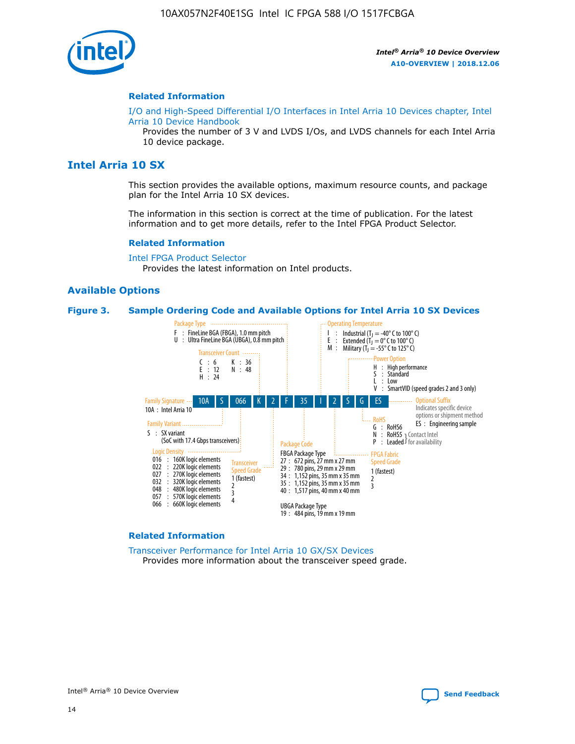

#### **Related Information**

[I/O and High-Speed Differential I/O Interfaces in Intel Arria 10 Devices chapter, Intel](https://www.intel.com/content/www/us/en/programmable/documentation/sam1403482614086.html#sam1403482030321) [Arria 10 Device Handbook](https://www.intel.com/content/www/us/en/programmable/documentation/sam1403482614086.html#sam1403482030321)

Provides the number of 3 V and LVDS I/Os, and LVDS channels for each Intel Arria 10 device package.

# **Intel Arria 10 SX**

This section provides the available options, maximum resource counts, and package plan for the Intel Arria 10 SX devices.

The information in this section is correct at the time of publication. For the latest information and to get more details, refer to the Intel FPGA Product Selector.

#### **Related Information**

[Intel FPGA Product Selector](http://www.altera.com/products/selector/psg-selector.html) Provides the latest information on Intel products.

#### **Available Options**

#### **Figure 3. Sample Ordering Code and Available Options for Intel Arria 10 SX Devices**



#### **Related Information**

[Transceiver Performance for Intel Arria 10 GX/SX Devices](https://www.intel.com/content/www/us/en/programmable/documentation/mcn1413182292568.html#mcn1413213965502) Provides more information about the transceiver speed grade.

Intel® Arria® 10 Device Overview **[Send Feedback](mailto:FPGAtechdocfeedback@intel.com?subject=Feedback%20on%20Intel%20Arria%2010%20Device%20Overview%20(A10-OVERVIEW%202018.12.06)&body=We%20appreciate%20your%20feedback.%20In%20your%20comments,%20also%20specify%20the%20page%20number%20or%20paragraph.%20Thank%20you.)**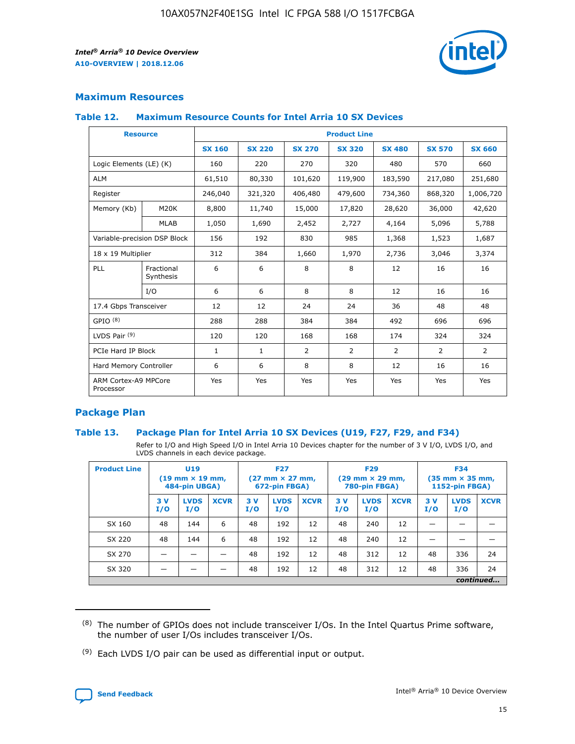

## **Maximum Resources**

#### **Table 12. Maximum Resource Counts for Intel Arria 10 SX Devices**

| <b>Resource</b>                   |                         |               |               |                | <b>Product Line</b> |                |                |                |
|-----------------------------------|-------------------------|---------------|---------------|----------------|---------------------|----------------|----------------|----------------|
|                                   |                         | <b>SX 160</b> | <b>SX 220</b> | <b>SX 270</b>  | <b>SX 320</b>       | <b>SX 480</b>  | <b>SX 570</b>  | <b>SX 660</b>  |
| Logic Elements (LE) (K)           |                         | 160           | 220           | 270            | 320                 | 480            | 570            | 660            |
| <b>ALM</b>                        |                         | 61,510        | 80,330        | 101,620        | 119,900             | 183,590        | 217,080        | 251,680        |
| Register                          |                         | 246,040       | 321,320       | 406,480        | 479,600             | 734,360        | 868,320        | 1,006,720      |
| Memory (Kb)                       | M <sub>20</sub> K       | 8,800         | 11,740        | 15,000         | 17,820              | 28,620         | 36,000         | 42,620         |
|                                   | <b>MLAB</b>             | 1,050         | 1,690         | 2,452          | 2,727               | 4,164          | 5,096          | 5,788          |
| Variable-precision DSP Block      |                         | 156           | 192           | 830            | 985                 | 1,368          | 1,523          | 1,687          |
| 18 x 19 Multiplier                |                         | 312           | 384           | 1,660          | 1,970               | 2,736          | 3,046          | 3,374          |
| PLL                               | Fractional<br>Synthesis | 6             | 6             | 8              | 8                   | 12             | 16             | 16             |
|                                   | I/O                     | 6             | 6             | 8              | 8                   | 12             | 16             | 16             |
| 17.4 Gbps Transceiver             |                         | 12            | 12            | 24             | 24                  | 36             | 48             | 48             |
| GPIO <sup>(8)</sup>               |                         | 288           | 288           | 384            | 384                 | 492            | 696            | 696            |
| LVDS Pair $(9)$                   |                         | 120           | 120           | 168            | 168                 | 174            | 324            | 324            |
| PCIe Hard IP Block                |                         | $\mathbf{1}$  | $\mathbf{1}$  | $\overline{2}$ | $\overline{2}$      | $\overline{2}$ | $\overline{2}$ | $\overline{2}$ |
| Hard Memory Controller            |                         | 6             | 6             | 8              | 8                   | 12             | 16             | 16             |
| ARM Cortex-A9 MPCore<br>Processor |                         | Yes           | Yes           | Yes            | Yes                 | Yes            | Yes            | <b>Yes</b>     |

## **Package Plan**

#### **Table 13. Package Plan for Intel Arria 10 SX Devices (U19, F27, F29, and F34)**

Refer to I/O and High Speed I/O in Intel Arria 10 Devices chapter for the number of 3 V I/O, LVDS I/O, and LVDS channels in each device package.

| <b>Product Line</b> | <b>U19</b><br>$(19 \text{ mm} \times 19 \text{ mm})$<br>484-pin UBGA) |                    |             | <b>F27</b><br>$(27 \text{ mm} \times 27 \text{ mm})$<br>672-pin FBGA) |                    | <b>F29</b><br>$(29 \text{ mm} \times 29 \text{ mm})$<br>780-pin FBGA) |           |                    | <b>F34</b><br>$(35 \text{ mm} \times 35 \text{ mm})$<br><b>1152-pin FBGA)</b> |           |                    |             |
|---------------------|-----------------------------------------------------------------------|--------------------|-------------|-----------------------------------------------------------------------|--------------------|-----------------------------------------------------------------------|-----------|--------------------|-------------------------------------------------------------------------------|-----------|--------------------|-------------|
|                     | 3V<br>I/O                                                             | <b>LVDS</b><br>I/O | <b>XCVR</b> | 3V<br>I/O                                                             | <b>LVDS</b><br>I/O | <b>XCVR</b>                                                           | 3V<br>I/O | <b>LVDS</b><br>I/O | <b>XCVR</b>                                                                   | 3V<br>I/O | <b>LVDS</b><br>I/O | <b>XCVR</b> |
| SX 160              | 48                                                                    | 144                | 6           | 48                                                                    | 192                | 12                                                                    | 48        | 240                | 12                                                                            | -         |                    |             |
| SX 220              | 48                                                                    | 144                | 6           | 48                                                                    | 192                | 12                                                                    | 48        | 240                | 12                                                                            |           |                    |             |
| SX 270              |                                                                       |                    |             | 48                                                                    | 192                | 12                                                                    | 48        | 312                | 12                                                                            | 48        | 336                | 24          |
| SX 320              |                                                                       |                    |             | 48                                                                    | 192                | 12                                                                    | 48        | 312                | 12                                                                            | 48        | 336                | 24          |
|                     |                                                                       |                    |             |                                                                       |                    |                                                                       |           |                    |                                                                               |           |                    | continued   |

 $(8)$  The number of GPIOs does not include transceiver I/Os. In the Intel Quartus Prime software, the number of user I/Os includes transceiver I/Os.

 $(9)$  Each LVDS I/O pair can be used as differential input or output.

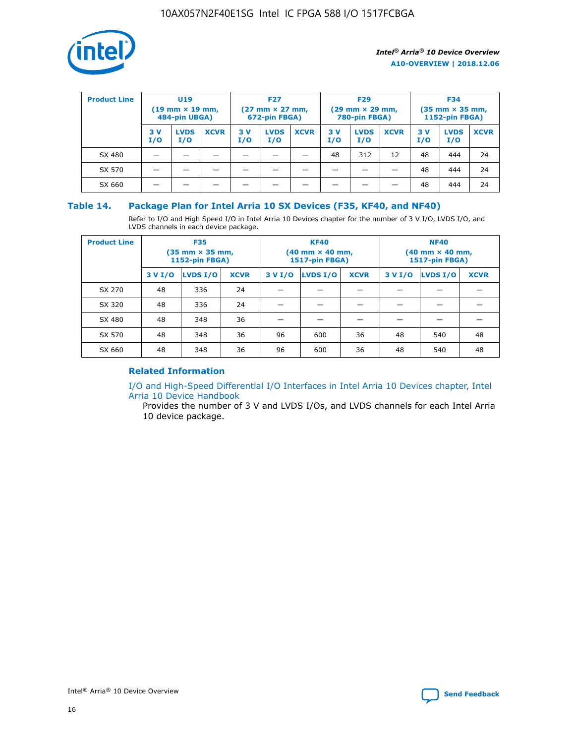

| <b>Product Line</b> | U <sub>19</sub><br>$(19 \text{ mm} \times 19 \text{ mm})$<br>484-pin UBGA) |                    | <b>F27</b><br>$(27 \text{ mm} \times 27 \text{ mm})$<br>672-pin FBGA) |           | <b>F29</b><br>$(29 \text{ mm} \times 29 \text{ mm})$<br>780-pin FBGA) |             |           | <b>F34</b><br>$(35 \text{ mm} \times 35 \text{ mm})$<br><b>1152-pin FBGA)</b> |             |           |                    |             |
|---------------------|----------------------------------------------------------------------------|--------------------|-----------------------------------------------------------------------|-----------|-----------------------------------------------------------------------|-------------|-----------|-------------------------------------------------------------------------------|-------------|-----------|--------------------|-------------|
|                     | 3 V<br>I/O                                                                 | <b>LVDS</b><br>I/O | <b>XCVR</b>                                                           | 3V<br>I/O | <b>LVDS</b><br>I/O                                                    | <b>XCVR</b> | 3V<br>I/O | <b>LVDS</b><br>I/O                                                            | <b>XCVR</b> | 3V<br>I/O | <b>LVDS</b><br>I/O | <b>XCVR</b> |
| SX 480              |                                                                            |                    |                                                                       |           |                                                                       |             | 48        | 312                                                                           | 12          | 48        | 444                | 24          |
| SX 570              |                                                                            |                    |                                                                       |           |                                                                       |             |           |                                                                               |             | 48        | 444                | 24          |
| SX 660              |                                                                            |                    |                                                                       |           |                                                                       |             |           |                                                                               |             | 48        | 444                | 24          |

## **Table 14. Package Plan for Intel Arria 10 SX Devices (F35, KF40, and NF40)**

Refer to I/O and High Speed I/O in Intel Arria 10 Devices chapter for the number of 3 V I/O, LVDS I/O, and LVDS channels in each device package.

| <b>Product Line</b> | <b>F35</b><br>(35 mm × 35 mm,<br><b>1152-pin FBGA)</b> |          |             |                                           | <b>KF40</b><br>(40 mm × 40 mm,<br>1517-pin FBGA) |    | <b>NF40</b><br>$(40 \text{ mm} \times 40 \text{ mm})$<br>1517-pin FBGA) |          |             |  |
|---------------------|--------------------------------------------------------|----------|-------------|-------------------------------------------|--------------------------------------------------|----|-------------------------------------------------------------------------|----------|-------------|--|
|                     | 3 V I/O                                                | LVDS I/O | <b>XCVR</b> | <b>LVDS I/O</b><br>3 V I/O<br><b>XCVR</b> |                                                  |    | 3 V I/O                                                                 | LVDS I/O | <b>XCVR</b> |  |
| SX 270              | 48                                                     | 336      | 24          |                                           |                                                  |    |                                                                         |          |             |  |
| SX 320              | 48                                                     | 336      | 24          |                                           |                                                  |    |                                                                         |          |             |  |
| SX 480              | 48                                                     | 348      | 36          |                                           |                                                  |    |                                                                         |          |             |  |
| SX 570              | 48                                                     | 348      | 36          | 96                                        | 600                                              | 36 | 48                                                                      | 540      | 48          |  |
| SX 660              | 48                                                     | 348      | 36          | 96                                        | 600                                              | 36 | 48                                                                      | 540      | 48          |  |

# **Related Information**

[I/O and High-Speed Differential I/O Interfaces in Intel Arria 10 Devices chapter, Intel](https://www.intel.com/content/www/us/en/programmable/documentation/sam1403482614086.html#sam1403482030321) [Arria 10 Device Handbook](https://www.intel.com/content/www/us/en/programmable/documentation/sam1403482614086.html#sam1403482030321)

Provides the number of 3 V and LVDS I/Os, and LVDS channels for each Intel Arria 10 device package.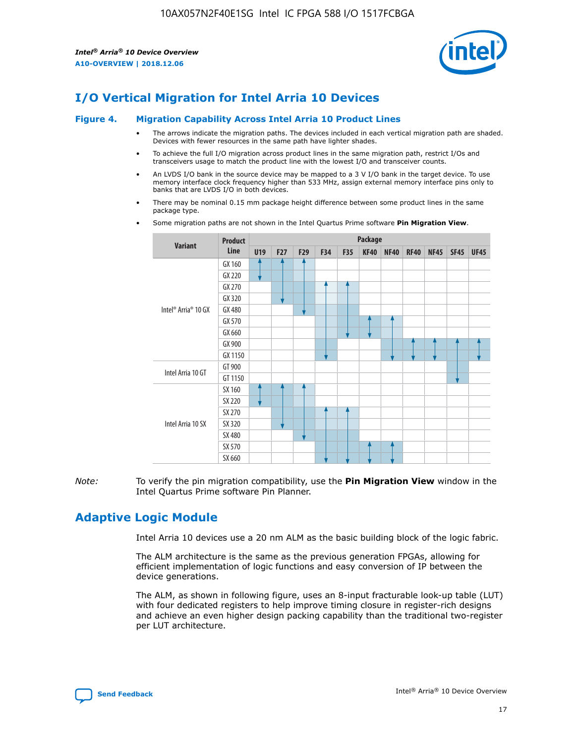

# **I/O Vertical Migration for Intel Arria 10 Devices**

#### **Figure 4. Migration Capability Across Intel Arria 10 Product Lines**

- The arrows indicate the migration paths. The devices included in each vertical migration path are shaded. Devices with fewer resources in the same path have lighter shades.
- To achieve the full I/O migration across product lines in the same migration path, restrict I/Os and transceivers usage to match the product line with the lowest I/O and transceiver counts.
- An LVDS I/O bank in the source device may be mapped to a 3 V I/O bank in the target device. To use memory interface clock frequency higher than 533 MHz, assign external memory interface pins only to banks that are LVDS I/O in both devices.
- There may be nominal 0.15 mm package height difference between some product lines in the same package type.
	- **Variant Product Line Package U19 F27 F29 F34 F35 KF40 NF40 RF40 NF45 SF45 UF45** Intel® Arria® 10 GX GX 160 GX 220 GX 270 GX 320 GX 480 GX 570 GX 660 GX 900 GX 1150 Intel Arria 10 GT GT 900 GT 1150 Intel Arria 10 SX SX 160 SX 220 SX 270 SX 320 SX 480 SX 570 SX 660
- Some migration paths are not shown in the Intel Quartus Prime software **Pin Migration View**.

*Note:* To verify the pin migration compatibility, use the **Pin Migration View** window in the Intel Quartus Prime software Pin Planner.

# **Adaptive Logic Module**

Intel Arria 10 devices use a 20 nm ALM as the basic building block of the logic fabric.

The ALM architecture is the same as the previous generation FPGAs, allowing for efficient implementation of logic functions and easy conversion of IP between the device generations.

The ALM, as shown in following figure, uses an 8-input fracturable look-up table (LUT) with four dedicated registers to help improve timing closure in register-rich designs and achieve an even higher design packing capability than the traditional two-register per LUT architecture.

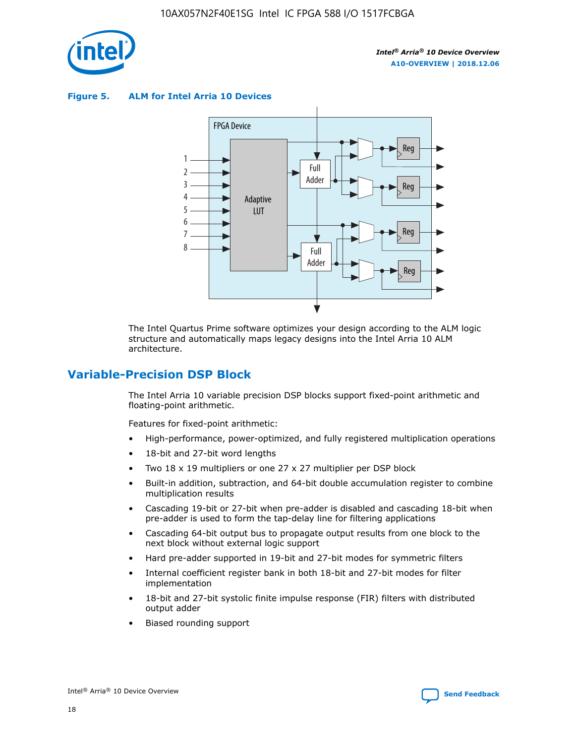

**Figure 5. ALM for Intel Arria 10 Devices**



The Intel Quartus Prime software optimizes your design according to the ALM logic structure and automatically maps legacy designs into the Intel Arria 10 ALM architecture.

# **Variable-Precision DSP Block**

The Intel Arria 10 variable precision DSP blocks support fixed-point arithmetic and floating-point arithmetic.

Features for fixed-point arithmetic:

- High-performance, power-optimized, and fully registered multiplication operations
- 18-bit and 27-bit word lengths
- Two 18 x 19 multipliers or one 27 x 27 multiplier per DSP block
- Built-in addition, subtraction, and 64-bit double accumulation register to combine multiplication results
- Cascading 19-bit or 27-bit when pre-adder is disabled and cascading 18-bit when pre-adder is used to form the tap-delay line for filtering applications
- Cascading 64-bit output bus to propagate output results from one block to the next block without external logic support
- Hard pre-adder supported in 19-bit and 27-bit modes for symmetric filters
- Internal coefficient register bank in both 18-bit and 27-bit modes for filter implementation
- 18-bit and 27-bit systolic finite impulse response (FIR) filters with distributed output adder
- Biased rounding support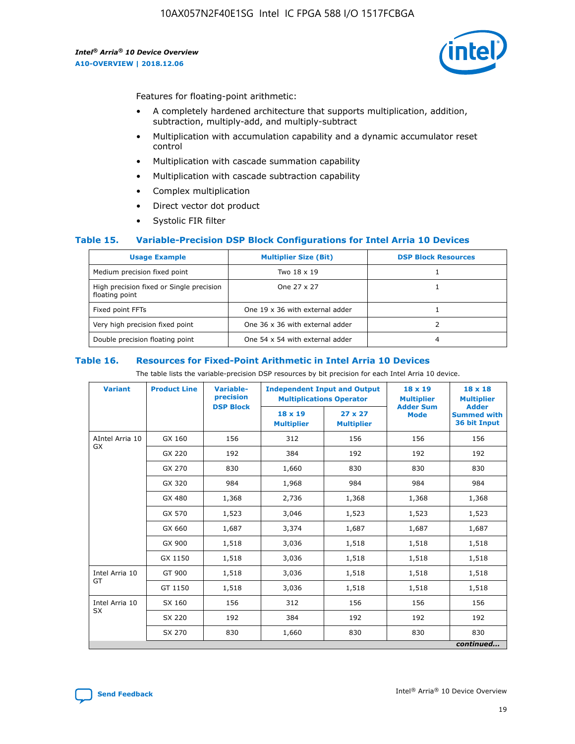

Features for floating-point arithmetic:

- A completely hardened architecture that supports multiplication, addition, subtraction, multiply-add, and multiply-subtract
- Multiplication with accumulation capability and a dynamic accumulator reset control
- Multiplication with cascade summation capability
- Multiplication with cascade subtraction capability
- Complex multiplication
- Direct vector dot product
- Systolic FIR filter

#### **Table 15. Variable-Precision DSP Block Configurations for Intel Arria 10 Devices**

| <b>Usage Example</b>                                       | <b>Multiplier Size (Bit)</b>    | <b>DSP Block Resources</b> |
|------------------------------------------------------------|---------------------------------|----------------------------|
| Medium precision fixed point                               | Two 18 x 19                     |                            |
| High precision fixed or Single precision<br>floating point | One 27 x 27                     |                            |
| Fixed point FFTs                                           | One 19 x 36 with external adder |                            |
| Very high precision fixed point                            | One 36 x 36 with external adder |                            |
| Double precision floating point                            | One 54 x 54 with external adder | 4                          |

#### **Table 16. Resources for Fixed-Point Arithmetic in Intel Arria 10 Devices**

The table lists the variable-precision DSP resources by bit precision for each Intel Arria 10 device.

| <b>Variant</b>  | <b>Product Line</b> | <b>Variable-</b><br>precision<br><b>DSP Block</b> | <b>Independent Input and Output</b><br><b>Multiplications Operator</b> |                                     | 18 x 19<br><b>Multiplier</b><br><b>Adder Sum</b> | $18 \times 18$<br><b>Multiplier</b><br><b>Adder</b> |
|-----------------|---------------------|---------------------------------------------------|------------------------------------------------------------------------|-------------------------------------|--------------------------------------------------|-----------------------------------------------------|
|                 |                     |                                                   | 18 x 19<br><b>Multiplier</b>                                           | $27 \times 27$<br><b>Multiplier</b> | <b>Mode</b>                                      | <b>Summed with</b><br>36 bit Input                  |
| AIntel Arria 10 | GX 160              | 156                                               | 312                                                                    | 156                                 | 156                                              | 156                                                 |
| GX              | GX 220              | 192                                               | 384                                                                    | 192                                 | 192                                              | 192                                                 |
|                 | GX 270              | 830                                               | 1,660                                                                  | 830                                 | 830                                              | 830                                                 |
|                 | GX 320              | 984                                               | 1,968                                                                  | 984                                 | 984                                              | 984                                                 |
|                 | GX 480              | 1,368                                             | 2,736                                                                  | 1,368                               | 1,368                                            | 1,368                                               |
|                 | GX 570              | 1,523                                             | 3,046                                                                  | 1,523                               | 1,523                                            | 1,523                                               |
|                 | GX 660              | 1,687                                             | 3,374                                                                  | 1,687                               | 1,687                                            | 1,687                                               |
|                 | GX 900              | 1,518                                             | 3,036                                                                  | 1,518                               | 1,518                                            | 1,518                                               |
|                 | GX 1150             | 1,518                                             | 3,036                                                                  | 1,518                               | 1,518                                            | 1,518                                               |
| Intel Arria 10  | GT 900              | 1,518                                             | 3,036                                                                  | 1,518                               | 1,518                                            | 1,518                                               |
| GT              | GT 1150             | 1,518                                             | 3,036                                                                  | 1,518                               | 1,518                                            | 1,518                                               |
| Intel Arria 10  | SX 160              | 156                                               | 312                                                                    | 156                                 | 156                                              | 156                                                 |
| <b>SX</b>       | SX 220              | 192                                               | 384                                                                    | 192                                 | 192                                              | 192                                                 |
|                 | SX 270              | 830                                               | 830<br>1,660                                                           |                                     | 830                                              | 830                                                 |
|                 |                     |                                                   |                                                                        |                                     |                                                  | continued                                           |

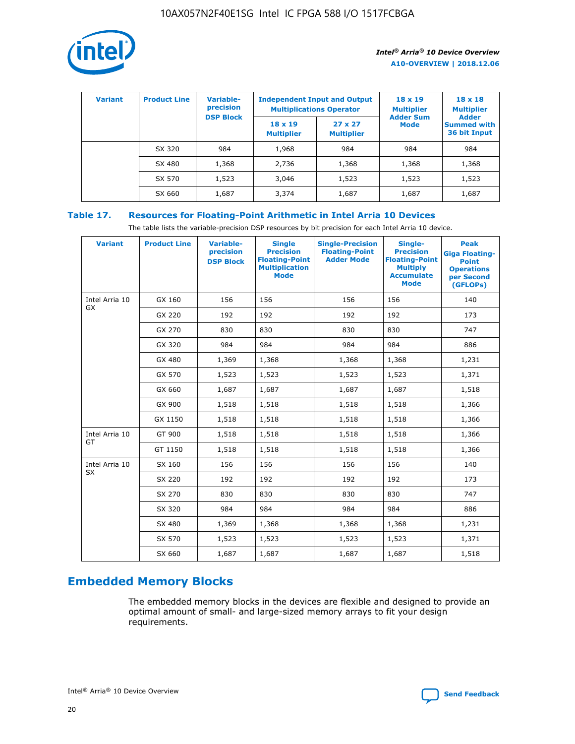

| <b>Variant</b> | <b>Product Line</b> | Variable-<br>precision | <b>Independent Input and Output</b><br><b>Multiplications Operator</b> |                                     | $18 \times 19$<br><b>Multiplier</b> | $18 \times 18$<br><b>Multiplier</b><br><b>Adder</b> |  |
|----------------|---------------------|------------------------|------------------------------------------------------------------------|-------------------------------------|-------------------------------------|-----------------------------------------------------|--|
|                |                     | <b>DSP Block</b>       | $18 \times 19$<br><b>Multiplier</b>                                    | $27 \times 27$<br><b>Multiplier</b> | <b>Adder Sum</b><br><b>Mode</b>     | <b>Summed with</b><br>36 bit Input                  |  |
|                | SX 320              | 984                    | 1,968                                                                  | 984                                 | 984                                 | 984                                                 |  |
|                | SX 480              | 1,368                  | 2,736                                                                  | 1,368                               | 1,368                               | 1,368                                               |  |
|                | SX 570              | 1,523                  | 3,046                                                                  | 1,523                               | 1,523                               | 1,523                                               |  |
|                | SX 660              | 1,687                  | 3,374                                                                  | 1,687                               | 1,687                               | 1,687                                               |  |

# **Table 17. Resources for Floating-Point Arithmetic in Intel Arria 10 Devices**

The table lists the variable-precision DSP resources by bit precision for each Intel Arria 10 device.

| <b>Variant</b> | <b>Product Line</b> | <b>Variable-</b><br>precision<br><b>DSP Block</b> | <b>Single</b><br><b>Precision</b><br><b>Floating-Point</b><br><b>Multiplication</b><br><b>Mode</b> | <b>Single-Precision</b><br><b>Floating-Point</b><br><b>Adder Mode</b> | Single-<br><b>Precision</b><br><b>Floating-Point</b><br><b>Multiply</b><br><b>Accumulate</b><br><b>Mode</b> | <b>Peak</b><br><b>Giga Floating-</b><br><b>Point</b><br><b>Operations</b><br>per Second<br>(GFLOPs) |
|----------------|---------------------|---------------------------------------------------|----------------------------------------------------------------------------------------------------|-----------------------------------------------------------------------|-------------------------------------------------------------------------------------------------------------|-----------------------------------------------------------------------------------------------------|
| Intel Arria 10 | GX 160              | 156                                               | 156                                                                                                | 156                                                                   | 156                                                                                                         | 140                                                                                                 |
| GX             | GX 220              | 192                                               | 192                                                                                                | 192                                                                   | 192                                                                                                         | 173                                                                                                 |
|                | GX 270              | 830                                               | 830                                                                                                | 830                                                                   | 830                                                                                                         | 747                                                                                                 |
|                | GX 320              | 984                                               | 984                                                                                                | 984                                                                   | 984                                                                                                         | 886                                                                                                 |
|                | GX 480              | 1,369                                             | 1,368                                                                                              | 1,368                                                                 | 1,368                                                                                                       | 1,231                                                                                               |
|                | GX 570              | 1,523                                             | 1,523                                                                                              | 1,523                                                                 | 1,523                                                                                                       | 1,371                                                                                               |
|                | GX 660              | 1,687                                             | 1,687                                                                                              | 1,687                                                                 | 1,687                                                                                                       | 1,518                                                                                               |
|                | GX 900              | 1,518                                             | 1,518                                                                                              | 1,518                                                                 | 1,518                                                                                                       | 1,366                                                                                               |
|                | GX 1150             | 1,518                                             | 1,518                                                                                              | 1,518                                                                 | 1,518                                                                                                       | 1,366                                                                                               |
| Intel Arria 10 | GT 900              | 1,518                                             | 1,518                                                                                              | 1,518                                                                 | 1,518                                                                                                       | 1,366                                                                                               |
| GT             | GT 1150             | 1,518                                             | 1,518                                                                                              | 1,518                                                                 | 1,518                                                                                                       | 1,366                                                                                               |
| Intel Arria 10 | SX 160              | 156                                               | 156                                                                                                | 156                                                                   | 156                                                                                                         | 140                                                                                                 |
| <b>SX</b>      | SX 220              | 192                                               | 192                                                                                                | 192                                                                   | 192                                                                                                         | 173                                                                                                 |
|                | SX 270              | 830                                               | 830                                                                                                | 830                                                                   | 830                                                                                                         | 747                                                                                                 |
|                | SX 320              | 984                                               | 984                                                                                                | 984                                                                   | 984                                                                                                         | 886                                                                                                 |
|                | SX 480              | 1,369                                             | 1,368                                                                                              | 1,368                                                                 | 1,368                                                                                                       | 1,231                                                                                               |
|                | SX 570              | 1,523                                             | 1,523                                                                                              | 1,523                                                                 | 1,523                                                                                                       | 1,371                                                                                               |
|                | SX 660              | 1,687                                             | 1,687                                                                                              | 1,687                                                                 | 1,687                                                                                                       | 1,518                                                                                               |

# **Embedded Memory Blocks**

The embedded memory blocks in the devices are flexible and designed to provide an optimal amount of small- and large-sized memory arrays to fit your design requirements.

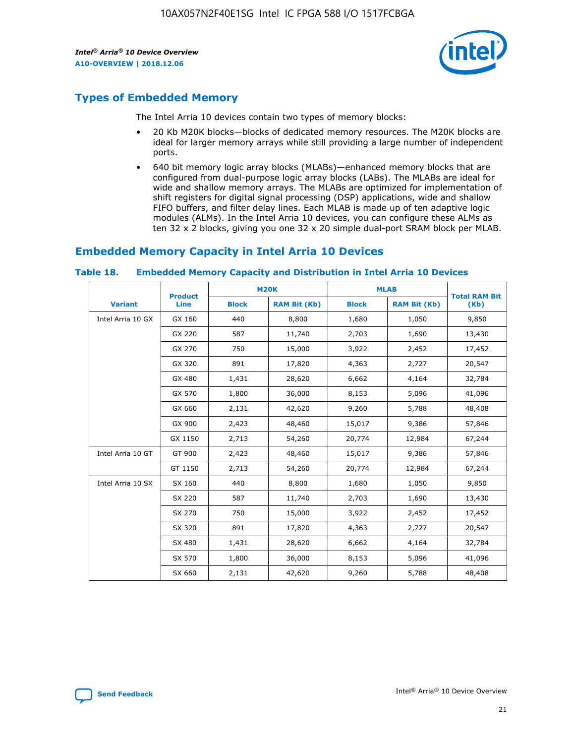

# **Types of Embedded Memory**

The Intel Arria 10 devices contain two types of memory blocks:

- 20 Kb M20K blocks—blocks of dedicated memory resources. The M20K blocks are ideal for larger memory arrays while still providing a large number of independent ports.
- 640 bit memory logic array blocks (MLABs)—enhanced memory blocks that are configured from dual-purpose logic array blocks (LABs). The MLABs are ideal for wide and shallow memory arrays. The MLABs are optimized for implementation of shift registers for digital signal processing (DSP) applications, wide and shallow FIFO buffers, and filter delay lines. Each MLAB is made up of ten adaptive logic modules (ALMs). In the Intel Arria 10 devices, you can configure these ALMs as ten 32 x 2 blocks, giving you one 32 x 20 simple dual-port SRAM block per MLAB.

# **Embedded Memory Capacity in Intel Arria 10 Devices**

|                   | <b>Product</b> |              | <b>M20K</b>         | <b>MLAB</b>  |                     | <b>Total RAM Bit</b> |
|-------------------|----------------|--------------|---------------------|--------------|---------------------|----------------------|
| <b>Variant</b>    | Line           | <b>Block</b> | <b>RAM Bit (Kb)</b> | <b>Block</b> | <b>RAM Bit (Kb)</b> | (Kb)                 |
| Intel Arria 10 GX | GX 160         | 440          | 8,800               | 1,680        | 1,050               | 9,850                |
|                   | GX 220         | 587          | 11,740              | 2,703        | 1,690               | 13,430               |
|                   | GX 270         | 750          | 15,000              | 3,922        | 2,452               | 17,452               |
|                   | GX 320         | 891          | 17,820              | 4,363        | 2,727               | 20,547               |
|                   | GX 480         | 1,431        | 28,620              | 6,662        | 4,164               | 32,784               |
|                   | GX 570         | 1,800        | 36,000              | 8,153        | 5,096               | 41,096               |
|                   | GX 660         | 2,131        | 42,620              | 9,260        | 5,788               | 48,408               |
|                   | GX 900         | 2,423        | 48,460              | 15,017       | 9,386               | 57,846               |
|                   | GX 1150        | 2,713        | 54,260              | 20,774       | 12,984              | 67,244               |
| Intel Arria 10 GT | GT 900         | 2,423        | 48,460              | 15,017       | 9,386               | 57,846               |
|                   | GT 1150        | 2,713        | 54,260              | 20,774       | 12,984              | 67,244               |
| Intel Arria 10 SX | SX 160         | 440          | 8,800               | 1,680        | 1,050               | 9,850                |
|                   | SX 220         | 587          | 11,740              | 2,703        | 1,690               | 13,430               |
|                   | SX 270         | 750          | 15,000              | 3,922        | 2,452               | 17,452               |
|                   | SX 320         | 891          | 17,820              | 4,363        | 2,727               | 20,547               |
|                   | SX 480         | 1,431        | 28,620              | 6,662        | 4,164               | 32,784               |
|                   | SX 570         | 1,800        | 36,000              | 8,153        | 5,096               | 41,096               |
|                   | SX 660         | 2,131        | 42,620              | 9,260        | 5,788               | 48,408               |

#### **Table 18. Embedded Memory Capacity and Distribution in Intel Arria 10 Devices**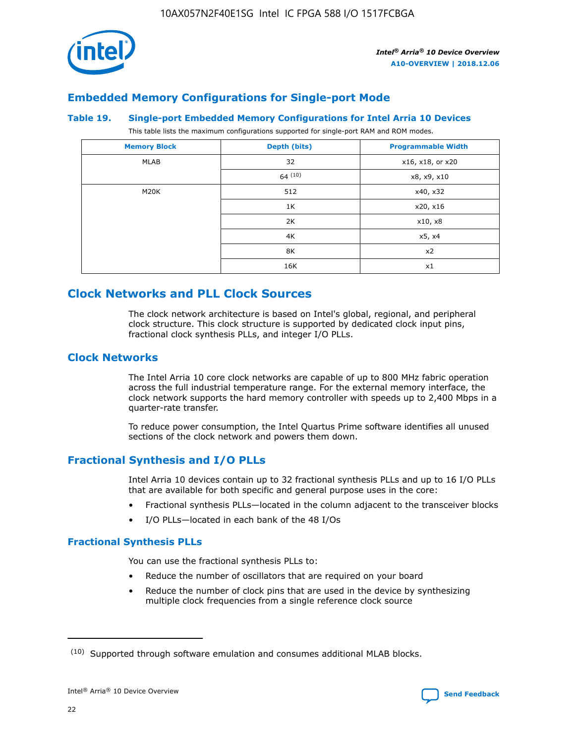

# **Embedded Memory Configurations for Single-port Mode**

#### **Table 19. Single-port Embedded Memory Configurations for Intel Arria 10 Devices**

This table lists the maximum configurations supported for single-port RAM and ROM modes.

| <b>Memory Block</b> | Depth (bits) | <b>Programmable Width</b> |
|---------------------|--------------|---------------------------|
| MLAB                | 32           | x16, x18, or x20          |
|                     | 64(10)       | x8, x9, x10               |
| M20K                | 512          | x40, x32                  |
|                     | 1K           | x20, x16                  |
|                     | 2K           | x10, x8                   |
|                     | 4K           | x5, x4                    |
|                     | 8K           | x2                        |
|                     | 16K          | x1                        |

# **Clock Networks and PLL Clock Sources**

The clock network architecture is based on Intel's global, regional, and peripheral clock structure. This clock structure is supported by dedicated clock input pins, fractional clock synthesis PLLs, and integer I/O PLLs.

# **Clock Networks**

The Intel Arria 10 core clock networks are capable of up to 800 MHz fabric operation across the full industrial temperature range. For the external memory interface, the clock network supports the hard memory controller with speeds up to 2,400 Mbps in a quarter-rate transfer.

To reduce power consumption, the Intel Quartus Prime software identifies all unused sections of the clock network and powers them down.

# **Fractional Synthesis and I/O PLLs**

Intel Arria 10 devices contain up to 32 fractional synthesis PLLs and up to 16 I/O PLLs that are available for both specific and general purpose uses in the core:

- Fractional synthesis PLLs—located in the column adjacent to the transceiver blocks
- I/O PLLs—located in each bank of the 48 I/Os

## **Fractional Synthesis PLLs**

You can use the fractional synthesis PLLs to:

- Reduce the number of oscillators that are required on your board
- Reduce the number of clock pins that are used in the device by synthesizing multiple clock frequencies from a single reference clock source

<sup>(10)</sup> Supported through software emulation and consumes additional MLAB blocks.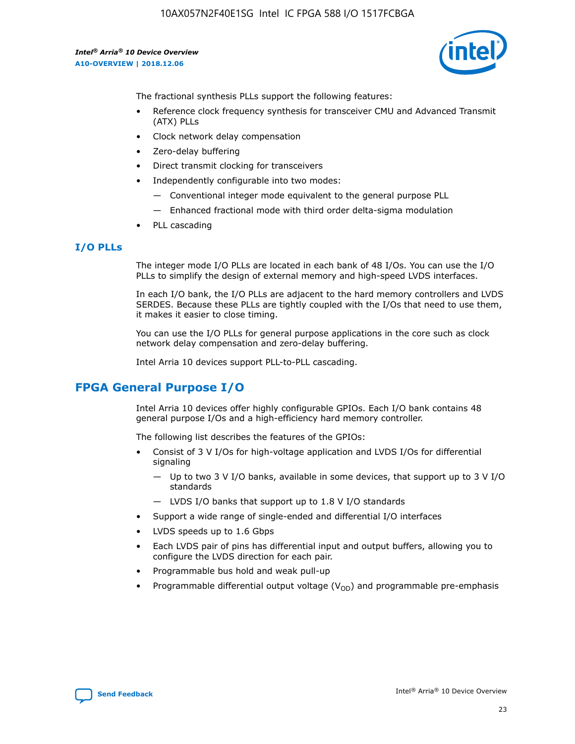

The fractional synthesis PLLs support the following features:

- Reference clock frequency synthesis for transceiver CMU and Advanced Transmit (ATX) PLLs
- Clock network delay compensation
- Zero-delay buffering
- Direct transmit clocking for transceivers
- Independently configurable into two modes:
	- Conventional integer mode equivalent to the general purpose PLL
	- Enhanced fractional mode with third order delta-sigma modulation
- PLL cascading

## **I/O PLLs**

The integer mode I/O PLLs are located in each bank of 48 I/Os. You can use the I/O PLLs to simplify the design of external memory and high-speed LVDS interfaces.

In each I/O bank, the I/O PLLs are adjacent to the hard memory controllers and LVDS SERDES. Because these PLLs are tightly coupled with the I/Os that need to use them, it makes it easier to close timing.

You can use the I/O PLLs for general purpose applications in the core such as clock network delay compensation and zero-delay buffering.

Intel Arria 10 devices support PLL-to-PLL cascading.

# **FPGA General Purpose I/O**

Intel Arria 10 devices offer highly configurable GPIOs. Each I/O bank contains 48 general purpose I/Os and a high-efficiency hard memory controller.

The following list describes the features of the GPIOs:

- Consist of 3 V I/Os for high-voltage application and LVDS I/Os for differential signaling
	- Up to two 3 V I/O banks, available in some devices, that support up to 3 V I/O standards
	- LVDS I/O banks that support up to 1.8 V I/O standards
- Support a wide range of single-ended and differential I/O interfaces
- LVDS speeds up to 1.6 Gbps
- Each LVDS pair of pins has differential input and output buffers, allowing you to configure the LVDS direction for each pair.
- Programmable bus hold and weak pull-up
- Programmable differential output voltage  $(V_{OD})$  and programmable pre-emphasis

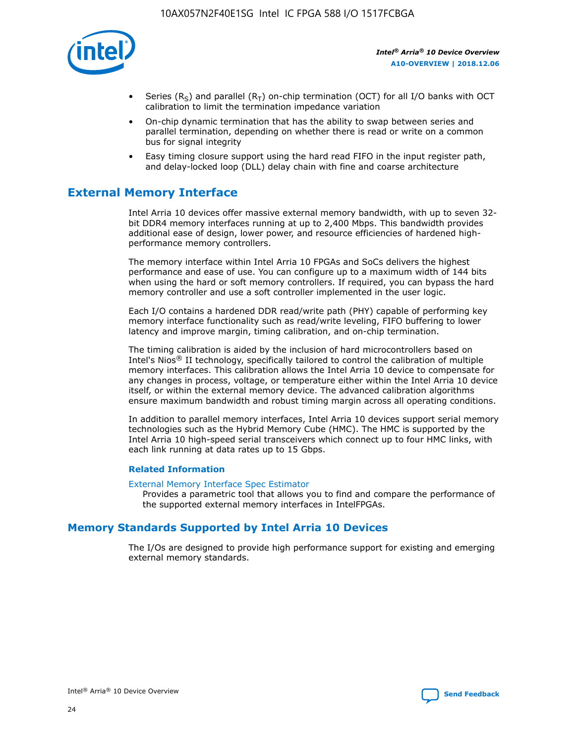

- Series (R<sub>S</sub>) and parallel (R<sub>T</sub>) on-chip termination (OCT) for all I/O banks with OCT calibration to limit the termination impedance variation
- On-chip dynamic termination that has the ability to swap between series and parallel termination, depending on whether there is read or write on a common bus for signal integrity
- Easy timing closure support using the hard read FIFO in the input register path, and delay-locked loop (DLL) delay chain with fine and coarse architecture

# **External Memory Interface**

Intel Arria 10 devices offer massive external memory bandwidth, with up to seven 32 bit DDR4 memory interfaces running at up to 2,400 Mbps. This bandwidth provides additional ease of design, lower power, and resource efficiencies of hardened highperformance memory controllers.

The memory interface within Intel Arria 10 FPGAs and SoCs delivers the highest performance and ease of use. You can configure up to a maximum width of 144 bits when using the hard or soft memory controllers. If required, you can bypass the hard memory controller and use a soft controller implemented in the user logic.

Each I/O contains a hardened DDR read/write path (PHY) capable of performing key memory interface functionality such as read/write leveling, FIFO buffering to lower latency and improve margin, timing calibration, and on-chip termination.

The timing calibration is aided by the inclusion of hard microcontrollers based on Intel's Nios® II technology, specifically tailored to control the calibration of multiple memory interfaces. This calibration allows the Intel Arria 10 device to compensate for any changes in process, voltage, or temperature either within the Intel Arria 10 device itself, or within the external memory device. The advanced calibration algorithms ensure maximum bandwidth and robust timing margin across all operating conditions.

In addition to parallel memory interfaces, Intel Arria 10 devices support serial memory technologies such as the Hybrid Memory Cube (HMC). The HMC is supported by the Intel Arria 10 high-speed serial transceivers which connect up to four HMC links, with each link running at data rates up to 15 Gbps.

#### **Related Information**

#### [External Memory Interface Spec Estimator](http://www.altera.com/technology/memory/estimator/mem-emif-index.html)

Provides a parametric tool that allows you to find and compare the performance of the supported external memory interfaces in IntelFPGAs.

# **Memory Standards Supported by Intel Arria 10 Devices**

The I/Os are designed to provide high performance support for existing and emerging external memory standards.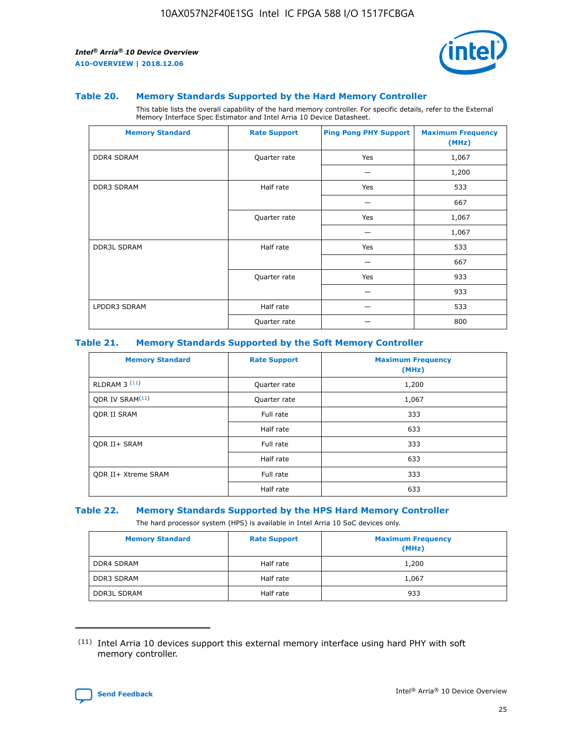

#### **Table 20. Memory Standards Supported by the Hard Memory Controller**

This table lists the overall capability of the hard memory controller. For specific details, refer to the External Memory Interface Spec Estimator and Intel Arria 10 Device Datasheet.

| <b>Memory Standard</b> | <b>Rate Support</b> | <b>Ping Pong PHY Support</b> | <b>Maximum Frequency</b><br>(MHz) |
|------------------------|---------------------|------------------------------|-----------------------------------|
| <b>DDR4 SDRAM</b>      | Quarter rate        | Yes                          | 1,067                             |
|                        |                     |                              | 1,200                             |
| DDR3 SDRAM             | Half rate           | Yes                          | 533                               |
|                        |                     |                              | 667                               |
|                        | Quarter rate        | Yes                          | 1,067                             |
|                        |                     |                              | 1,067                             |
| <b>DDR3L SDRAM</b>     | Half rate           | Yes                          | 533                               |
|                        |                     |                              | 667                               |
|                        | Quarter rate        | Yes                          | 933                               |
|                        |                     |                              | 933                               |
| LPDDR3 SDRAM           | Half rate           |                              | 533                               |
|                        | Quarter rate        |                              | 800                               |

#### **Table 21. Memory Standards Supported by the Soft Memory Controller**

| <b>Memory Standard</b>      | <b>Rate Support</b> | <b>Maximum Frequency</b><br>(MHz) |
|-----------------------------|---------------------|-----------------------------------|
| <b>RLDRAM 3 (11)</b>        | Quarter rate        | 1,200                             |
| ODR IV SRAM <sup>(11)</sup> | Quarter rate        | 1,067                             |
| <b>ODR II SRAM</b>          | Full rate           | 333                               |
|                             | Half rate           | 633                               |
| <b>ODR II+ SRAM</b>         | Full rate           | 333                               |
|                             | Half rate           | 633                               |
| <b>ODR II+ Xtreme SRAM</b>  | Full rate           | 333                               |
|                             | Half rate           | 633                               |

#### **Table 22. Memory Standards Supported by the HPS Hard Memory Controller**

The hard processor system (HPS) is available in Intel Arria 10 SoC devices only.

| <b>Memory Standard</b> | <b>Rate Support</b> | <b>Maximum Frequency</b><br>(MHz) |
|------------------------|---------------------|-----------------------------------|
| <b>DDR4 SDRAM</b>      | Half rate           | 1,200                             |
| <b>DDR3 SDRAM</b>      | Half rate           | 1,067                             |
| <b>DDR3L SDRAM</b>     | Half rate           | 933                               |

<sup>(11)</sup> Intel Arria 10 devices support this external memory interface using hard PHY with soft memory controller.

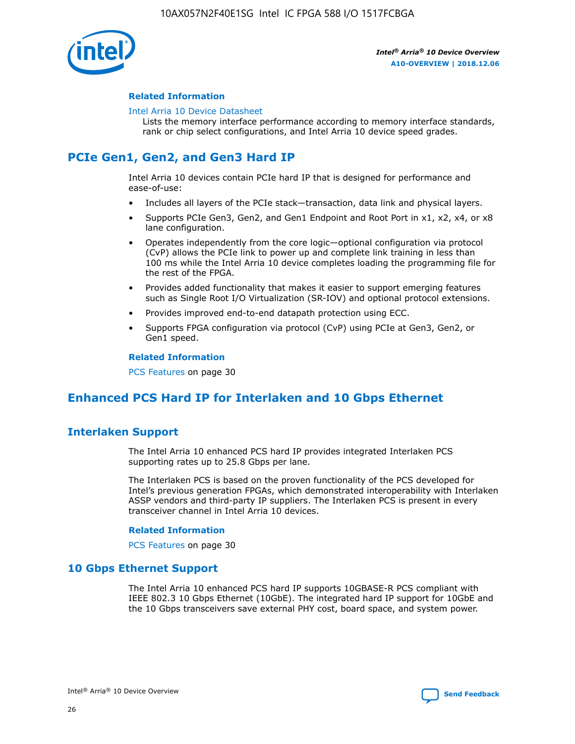

## **Related Information**

#### [Intel Arria 10 Device Datasheet](https://www.intel.com/content/www/us/en/programmable/documentation/mcn1413182292568.html#mcn1413182153340)

Lists the memory interface performance according to memory interface standards, rank or chip select configurations, and Intel Arria 10 device speed grades.

# **PCIe Gen1, Gen2, and Gen3 Hard IP**

Intel Arria 10 devices contain PCIe hard IP that is designed for performance and ease-of-use:

- Includes all layers of the PCIe stack—transaction, data link and physical layers.
- Supports PCIe Gen3, Gen2, and Gen1 Endpoint and Root Port in x1, x2, x4, or x8 lane configuration.
- Operates independently from the core logic—optional configuration via protocol (CvP) allows the PCIe link to power up and complete link training in less than 100 ms while the Intel Arria 10 device completes loading the programming file for the rest of the FPGA.
- Provides added functionality that makes it easier to support emerging features such as Single Root I/O Virtualization (SR-IOV) and optional protocol extensions.
- Provides improved end-to-end datapath protection using ECC.
- Supports FPGA configuration via protocol (CvP) using PCIe at Gen3, Gen2, or Gen1 speed.

#### **Related Information**

PCS Features on page 30

# **Enhanced PCS Hard IP for Interlaken and 10 Gbps Ethernet**

# **Interlaken Support**

The Intel Arria 10 enhanced PCS hard IP provides integrated Interlaken PCS supporting rates up to 25.8 Gbps per lane.

The Interlaken PCS is based on the proven functionality of the PCS developed for Intel's previous generation FPGAs, which demonstrated interoperability with Interlaken ASSP vendors and third-party IP suppliers. The Interlaken PCS is present in every transceiver channel in Intel Arria 10 devices.

#### **Related Information**

PCS Features on page 30

## **10 Gbps Ethernet Support**

The Intel Arria 10 enhanced PCS hard IP supports 10GBASE-R PCS compliant with IEEE 802.3 10 Gbps Ethernet (10GbE). The integrated hard IP support for 10GbE and the 10 Gbps transceivers save external PHY cost, board space, and system power.

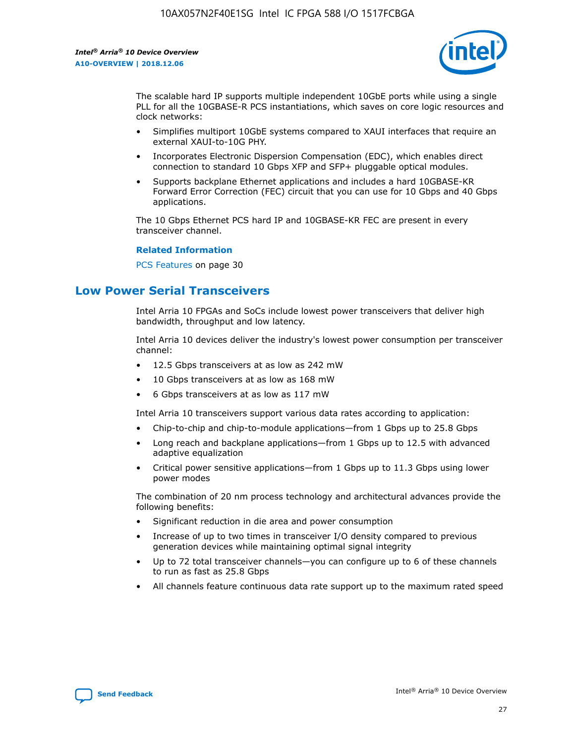

The scalable hard IP supports multiple independent 10GbE ports while using a single PLL for all the 10GBASE-R PCS instantiations, which saves on core logic resources and clock networks:

- Simplifies multiport 10GbE systems compared to XAUI interfaces that require an external XAUI-to-10G PHY.
- Incorporates Electronic Dispersion Compensation (EDC), which enables direct connection to standard 10 Gbps XFP and SFP+ pluggable optical modules.
- Supports backplane Ethernet applications and includes a hard 10GBASE-KR Forward Error Correction (FEC) circuit that you can use for 10 Gbps and 40 Gbps applications.

The 10 Gbps Ethernet PCS hard IP and 10GBASE-KR FEC are present in every transceiver channel.

#### **Related Information**

PCS Features on page 30

# **Low Power Serial Transceivers**

Intel Arria 10 FPGAs and SoCs include lowest power transceivers that deliver high bandwidth, throughput and low latency.

Intel Arria 10 devices deliver the industry's lowest power consumption per transceiver channel:

- 12.5 Gbps transceivers at as low as 242 mW
- 10 Gbps transceivers at as low as 168 mW
- 6 Gbps transceivers at as low as 117 mW

Intel Arria 10 transceivers support various data rates according to application:

- Chip-to-chip and chip-to-module applications—from 1 Gbps up to 25.8 Gbps
- Long reach and backplane applications—from 1 Gbps up to 12.5 with advanced adaptive equalization
- Critical power sensitive applications—from 1 Gbps up to 11.3 Gbps using lower power modes

The combination of 20 nm process technology and architectural advances provide the following benefits:

- Significant reduction in die area and power consumption
- Increase of up to two times in transceiver I/O density compared to previous generation devices while maintaining optimal signal integrity
- Up to 72 total transceiver channels—you can configure up to 6 of these channels to run as fast as 25.8 Gbps
- All channels feature continuous data rate support up to the maximum rated speed

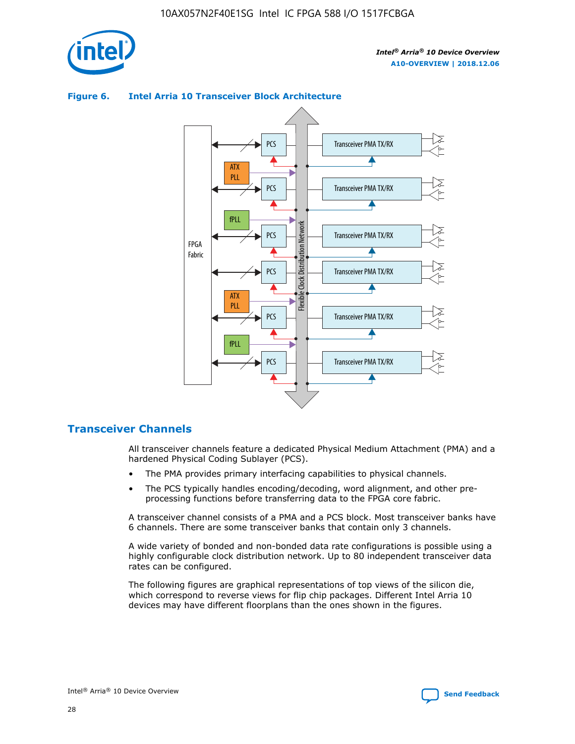



## **Figure 6. Intel Arria 10 Transceiver Block Architecture**

# **Transceiver Channels**

All transceiver channels feature a dedicated Physical Medium Attachment (PMA) and a hardened Physical Coding Sublayer (PCS).

- The PMA provides primary interfacing capabilities to physical channels.
- The PCS typically handles encoding/decoding, word alignment, and other preprocessing functions before transferring data to the FPGA core fabric.

A transceiver channel consists of a PMA and a PCS block. Most transceiver banks have 6 channels. There are some transceiver banks that contain only 3 channels.

A wide variety of bonded and non-bonded data rate configurations is possible using a highly configurable clock distribution network. Up to 80 independent transceiver data rates can be configured.

The following figures are graphical representations of top views of the silicon die, which correspond to reverse views for flip chip packages. Different Intel Arria 10 devices may have different floorplans than the ones shown in the figures.

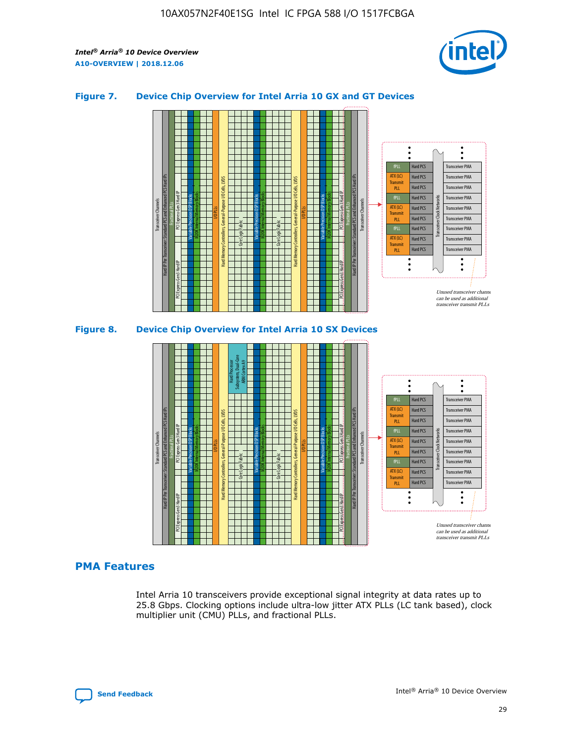

## **Figure 7. Device Chip Overview for Intel Arria 10 GX and GT Devices**



M20K Internal Memory Blocks Core Logic Fabric Transceiver Channels Hard IP Per Transceiver: Standard PCS and Enhanced PCS Hard IPs PCI Express Gen3 Hard IP Fractional PLLs M20K Internal Memory Blocks PCI Express Gen3 Hard IP Variable Precision DSP Blocks I/O PLLs Hard Memory Controllers, General-Purpose I/O Cells, LVDS Hard Processor Subsystem, Dual-Core ARM Cortex A9 M20K Internal Memory Blocks Variable Precision DSP Blocks M20K Internal Memory Blocks Core Logic Fabric I/O PLLs Hard Memory Controllers, General-Purpose I/O Cells, LVDS M20K Internal Memory Blocks Variable Precision DSP Blocks M20K Internal Memory Blocks Transceiver Channels Hard IP Per Transceiver: Standard PCS and Enhanced PCS Hard IPs PCI Express Gen3 Hard IP Fractional PLLs PCI Express Gen3 Hard IP Hard PCS Hard PCS Hard PCS Hard PCS Hard PCS Hard PCS Hard PCS Hard PCS Transceiver PMA Transceiver PMA Transceiver PMA Transceiver PMA Transceiver PMA Transceiver PMA Unused transceiver chann can be used as additional transceiver transmit PLLs Transceiver PMA Transceiver PMA Transceiver Clock Networks ATX (LC) **Transmit** PLL fPLL ATX (LC) Transmi PLL fPLL ATX (LC) **Transmit** PLL

## **PMA Features**

Intel Arria 10 transceivers provide exceptional signal integrity at data rates up to 25.8 Gbps. Clocking options include ultra-low jitter ATX PLLs (LC tank based), clock multiplier unit (CMU) PLLs, and fractional PLLs.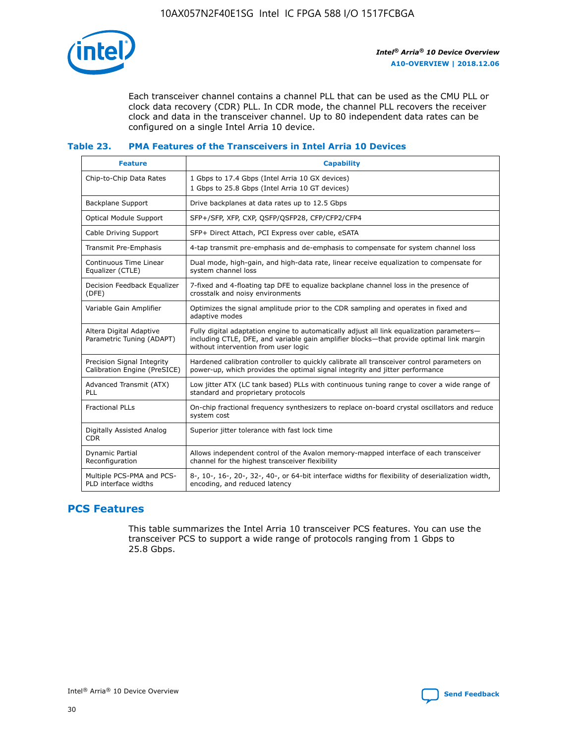

Each transceiver channel contains a channel PLL that can be used as the CMU PLL or clock data recovery (CDR) PLL. In CDR mode, the channel PLL recovers the receiver clock and data in the transceiver channel. Up to 80 independent data rates can be configured on a single Intel Arria 10 device.

## **Table 23. PMA Features of the Transceivers in Intel Arria 10 Devices**

| <b>Feature</b>                                             | <b>Capability</b>                                                                                                                                                                                                             |
|------------------------------------------------------------|-------------------------------------------------------------------------------------------------------------------------------------------------------------------------------------------------------------------------------|
| Chip-to-Chip Data Rates                                    | 1 Gbps to 17.4 Gbps (Intel Arria 10 GX devices)<br>1 Gbps to 25.8 Gbps (Intel Arria 10 GT devices)                                                                                                                            |
| Backplane Support                                          | Drive backplanes at data rates up to 12.5 Gbps                                                                                                                                                                                |
| Optical Module Support                                     | SFP+/SFP, XFP, CXP, QSFP/QSFP28, CFP/CFP2/CFP4                                                                                                                                                                                |
| Cable Driving Support                                      | SFP+ Direct Attach, PCI Express over cable, eSATA                                                                                                                                                                             |
| Transmit Pre-Emphasis                                      | 4-tap transmit pre-emphasis and de-emphasis to compensate for system channel loss                                                                                                                                             |
| Continuous Time Linear<br>Equalizer (CTLE)                 | Dual mode, high-gain, and high-data rate, linear receive equalization to compensate for<br>system channel loss                                                                                                                |
| Decision Feedback Equalizer<br>(DFE)                       | 7-fixed and 4-floating tap DFE to equalize backplane channel loss in the presence of<br>crosstalk and noisy environments                                                                                                      |
| Variable Gain Amplifier                                    | Optimizes the signal amplitude prior to the CDR sampling and operates in fixed and<br>adaptive modes                                                                                                                          |
| Altera Digital Adaptive<br>Parametric Tuning (ADAPT)       | Fully digital adaptation engine to automatically adjust all link equalization parameters-<br>including CTLE, DFE, and variable gain amplifier blocks—that provide optimal link margin<br>without intervention from user logic |
| Precision Signal Integrity<br>Calibration Engine (PreSICE) | Hardened calibration controller to quickly calibrate all transceiver control parameters on<br>power-up, which provides the optimal signal integrity and jitter performance                                                    |
| Advanced Transmit (ATX)<br><b>PLL</b>                      | Low jitter ATX (LC tank based) PLLs with continuous tuning range to cover a wide range of<br>standard and proprietary protocols                                                                                               |
| <b>Fractional PLLs</b>                                     | On-chip fractional frequency synthesizers to replace on-board crystal oscillators and reduce<br>system cost                                                                                                                   |
| Digitally Assisted Analog<br><b>CDR</b>                    | Superior jitter tolerance with fast lock time                                                                                                                                                                                 |
| Dynamic Partial<br>Reconfiguration                         | Allows independent control of the Avalon memory-mapped interface of each transceiver<br>channel for the highest transceiver flexibility                                                                                       |
| Multiple PCS-PMA and PCS-<br>PLD interface widths          | 8-, 10-, 16-, 20-, 32-, 40-, or 64-bit interface widths for flexibility of deserialization width,<br>encoding, and reduced latency                                                                                            |

# **PCS Features**

This table summarizes the Intel Arria 10 transceiver PCS features. You can use the transceiver PCS to support a wide range of protocols ranging from 1 Gbps to 25.8 Gbps.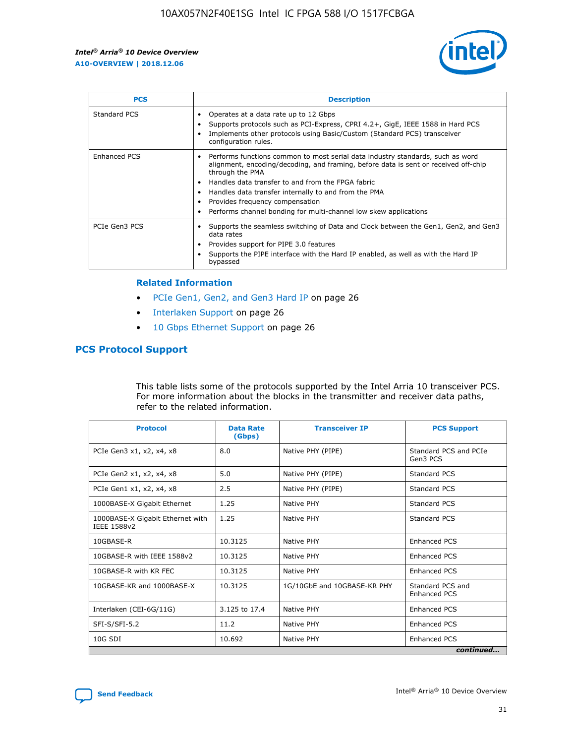

| <b>PCS</b>    | <b>Description</b>                                                                                                                                                                                                                                                                                                                                                                                             |
|---------------|----------------------------------------------------------------------------------------------------------------------------------------------------------------------------------------------------------------------------------------------------------------------------------------------------------------------------------------------------------------------------------------------------------------|
| Standard PCS  | Operates at a data rate up to 12 Gbps<br>Supports protocols such as PCI-Express, CPRI 4.2+, GigE, IEEE 1588 in Hard PCS<br>Implements other protocols using Basic/Custom (Standard PCS) transceiver<br>configuration rules.                                                                                                                                                                                    |
| Enhanced PCS  | Performs functions common to most serial data industry standards, such as word<br>alignment, encoding/decoding, and framing, before data is sent or received off-chip<br>through the PMA<br>• Handles data transfer to and from the FPGA fabric<br>Handles data transfer internally to and from the PMA<br>Provides frequency compensation<br>Performs channel bonding for multi-channel low skew applications |
| PCIe Gen3 PCS | Supports the seamless switching of Data and Clock between the Gen1, Gen2, and Gen3<br>data rates<br>Provides support for PIPE 3.0 features<br>Supports the PIPE interface with the Hard IP enabled, as well as with the Hard IP<br>bypassed                                                                                                                                                                    |

#### **Related Information**

- PCIe Gen1, Gen2, and Gen3 Hard IP on page 26
- Interlaken Support on page 26
- 10 Gbps Ethernet Support on page 26

# **PCS Protocol Support**

This table lists some of the protocols supported by the Intel Arria 10 transceiver PCS. For more information about the blocks in the transmitter and receiver data paths, refer to the related information.

| <b>Protocol</b>                                 | <b>Data Rate</b><br>(Gbps) | <b>Transceiver IP</b>       | <b>PCS Support</b>                      |
|-------------------------------------------------|----------------------------|-----------------------------|-----------------------------------------|
| PCIe Gen3 x1, x2, x4, x8                        | 8.0                        | Native PHY (PIPE)           | Standard PCS and PCIe<br>Gen3 PCS       |
| PCIe Gen2 x1, x2, x4, x8                        | 5.0                        | Native PHY (PIPE)           | <b>Standard PCS</b>                     |
| PCIe Gen1 x1, x2, x4, x8                        | 2.5                        | Native PHY (PIPE)           | Standard PCS                            |
| 1000BASE-X Gigabit Ethernet                     | 1.25                       | Native PHY                  | <b>Standard PCS</b>                     |
| 1000BASE-X Gigabit Ethernet with<br>IEEE 1588v2 | 1.25                       | Native PHY                  | Standard PCS                            |
| 10GBASE-R                                       | 10.3125                    | Native PHY                  | <b>Enhanced PCS</b>                     |
| 10GBASE-R with IEEE 1588v2                      | 10.3125                    | Native PHY                  | <b>Enhanced PCS</b>                     |
| 10GBASE-R with KR FEC                           | 10.3125                    | Native PHY                  | <b>Enhanced PCS</b>                     |
| 10GBASE-KR and 1000BASE-X                       | 10.3125                    | 1G/10GbE and 10GBASE-KR PHY | Standard PCS and<br><b>Enhanced PCS</b> |
| Interlaken (CEI-6G/11G)                         | 3.125 to 17.4              | Native PHY                  | <b>Enhanced PCS</b>                     |
| SFI-S/SFI-5.2                                   | 11.2                       | Native PHY                  | <b>Enhanced PCS</b>                     |
| $10G$ SDI                                       | 10.692                     | Native PHY                  | <b>Enhanced PCS</b>                     |
|                                                 |                            |                             | continued                               |

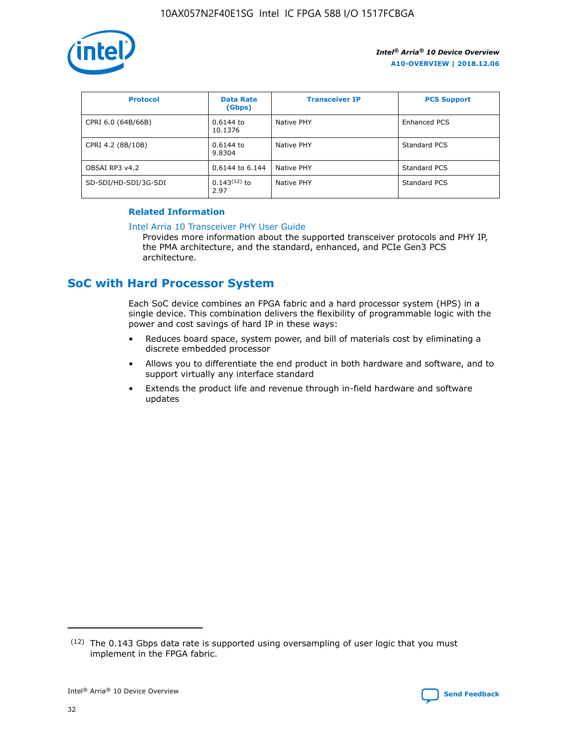

| <b>Protocol</b>      | <b>Data Rate</b><br>(Gbps) | <b>Transceiver IP</b> | <b>PCS Support</b>  |
|----------------------|----------------------------|-----------------------|---------------------|
| CPRI 6.0 (64B/66B)   | 0.6144 to<br>10.1376       | Native PHY            | <b>Enhanced PCS</b> |
| CPRI 4.2 (8B/10B)    | 0.6144 to<br>9.8304        | Native PHY            | Standard PCS        |
| OBSAI RP3 v4.2       | 0.6144 to 6.144            | Native PHY            | Standard PCS        |
| SD-SDI/HD-SDI/3G-SDI | $0.143(12)$ to<br>2.97     | Native PHY            | Standard PCS        |

## **Related Information**

#### [Intel Arria 10 Transceiver PHY User Guide](https://www.intel.com/content/www/us/en/programmable/documentation/nik1398707230472.html#nik1398707091164)

Provides more information about the supported transceiver protocols and PHY IP, the PMA architecture, and the standard, enhanced, and PCIe Gen3 PCS architecture.

# **SoC with Hard Processor System**

Each SoC device combines an FPGA fabric and a hard processor system (HPS) in a single device. This combination delivers the flexibility of programmable logic with the power and cost savings of hard IP in these ways:

- Reduces board space, system power, and bill of materials cost by eliminating a discrete embedded processor
- Allows you to differentiate the end product in both hardware and software, and to support virtually any interface standard
- Extends the product life and revenue through in-field hardware and software updates

 $(12)$  The 0.143 Gbps data rate is supported using oversampling of user logic that you must implement in the FPGA fabric.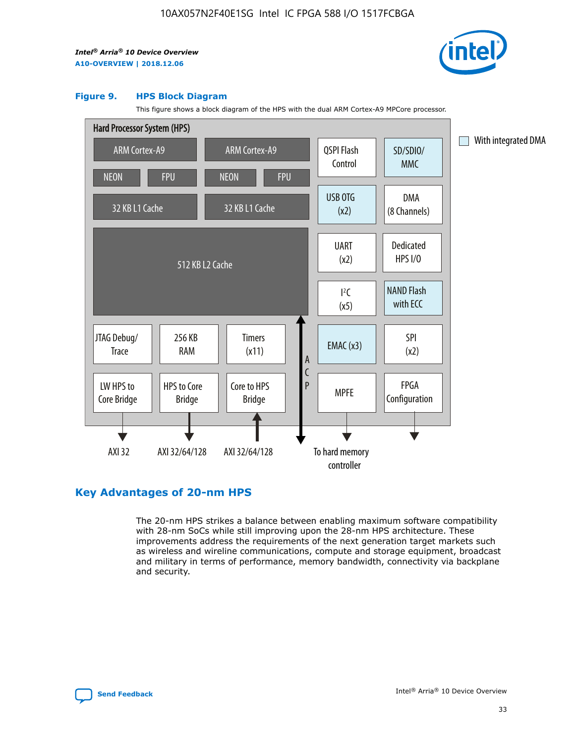

#### **Figure 9. HPS Block Diagram**

This figure shows a block diagram of the HPS with the dual ARM Cortex-A9 MPCore processor.



# **Key Advantages of 20-nm HPS**

The 20-nm HPS strikes a balance between enabling maximum software compatibility with 28-nm SoCs while still improving upon the 28-nm HPS architecture. These improvements address the requirements of the next generation target markets such as wireless and wireline communications, compute and storage equipment, broadcast and military in terms of performance, memory bandwidth, connectivity via backplane and security.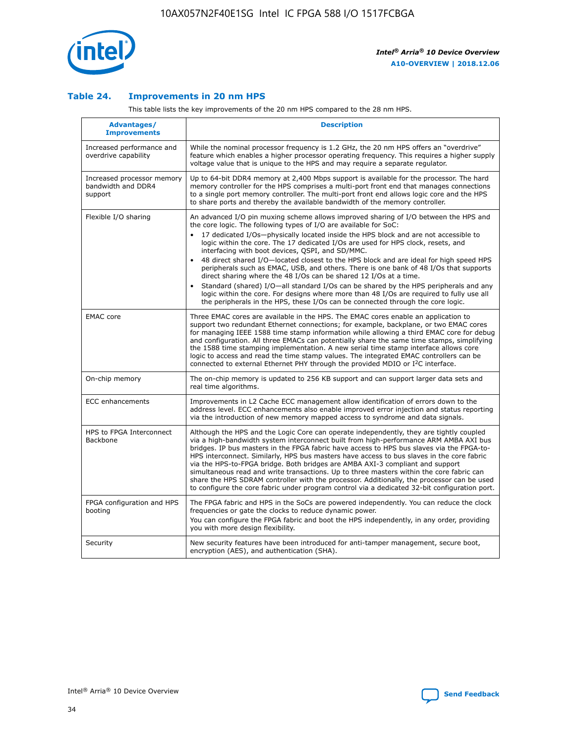

## **Table 24. Improvements in 20 nm HPS**

This table lists the key improvements of the 20 nm HPS compared to the 28 nm HPS.

| Advantages/<br><b>Improvements</b>                          | <b>Description</b>                                                                                                                                                                                                                                                                                                                                                                                                                                                                                                                                                                                                                                                                                                                                                                                                                                                                                                                   |
|-------------------------------------------------------------|--------------------------------------------------------------------------------------------------------------------------------------------------------------------------------------------------------------------------------------------------------------------------------------------------------------------------------------------------------------------------------------------------------------------------------------------------------------------------------------------------------------------------------------------------------------------------------------------------------------------------------------------------------------------------------------------------------------------------------------------------------------------------------------------------------------------------------------------------------------------------------------------------------------------------------------|
| Increased performance and<br>overdrive capability           | While the nominal processor frequency is 1.2 GHz, the 20 nm HPS offers an "overdrive"<br>feature which enables a higher processor operating frequency. This requires a higher supply<br>voltage value that is unique to the HPS and may require a separate regulator.                                                                                                                                                                                                                                                                                                                                                                                                                                                                                                                                                                                                                                                                |
| Increased processor memory<br>bandwidth and DDR4<br>support | Up to 64-bit DDR4 memory at 2,400 Mbps support is available for the processor. The hard<br>memory controller for the HPS comprises a multi-port front end that manages connections<br>to a single port memory controller. The multi-port front end allows logic core and the HPS<br>to share ports and thereby the available bandwidth of the memory controller.                                                                                                                                                                                                                                                                                                                                                                                                                                                                                                                                                                     |
| Flexible I/O sharing                                        | An advanced I/O pin muxing scheme allows improved sharing of I/O between the HPS and<br>the core logic. The following types of I/O are available for SoC:<br>17 dedicated I/Os-physically located inside the HPS block and are not accessible to<br>logic within the core. The 17 dedicated I/Os are used for HPS clock, resets, and<br>interfacing with boot devices, QSPI, and SD/MMC.<br>48 direct shared I/O-located closest to the HPS block and are ideal for high speed HPS<br>$\bullet$<br>peripherals such as EMAC, USB, and others. There is one bank of 48 I/Os that supports<br>direct sharing where the 48 I/Os can be shared 12 I/Os at a time.<br>Standard (shared) I/O-all standard I/Os can be shared by the HPS peripherals and any<br>logic within the core. For designs where more than 48 I/Os are required to fully use all<br>the peripherals in the HPS, these I/Os can be connected through the core logic. |
| <b>EMAC</b> core                                            | Three EMAC cores are available in the HPS. The EMAC cores enable an application to<br>support two redundant Ethernet connections; for example, backplane, or two EMAC cores<br>for managing IEEE 1588 time stamp information while allowing a third EMAC core for debug<br>and configuration. All three EMACs can potentially share the same time stamps, simplifying<br>the 1588 time stamping implementation. A new serial time stamp interface allows core<br>logic to access and read the time stamp values. The integrated EMAC controllers can be<br>connected to external Ethernet PHY through the provided MDIO or I <sup>2</sup> C interface.                                                                                                                                                                                                                                                                               |
| On-chip memory                                              | The on-chip memory is updated to 256 KB support and can support larger data sets and<br>real time algorithms.                                                                                                                                                                                                                                                                                                                                                                                                                                                                                                                                                                                                                                                                                                                                                                                                                        |
| ECC enhancements                                            | Improvements in L2 Cache ECC management allow identification of errors down to the<br>address level. ECC enhancements also enable improved error injection and status reporting<br>via the introduction of new memory mapped access to syndrome and data signals.                                                                                                                                                                                                                                                                                                                                                                                                                                                                                                                                                                                                                                                                    |
| HPS to FPGA Interconnect<br>Backbone                        | Although the HPS and the Logic Core can operate independently, they are tightly coupled<br>via a high-bandwidth system interconnect built from high-performance ARM AMBA AXI bus<br>bridges. IP bus masters in the FPGA fabric have access to HPS bus slaves via the FPGA-to-<br>HPS interconnect. Similarly, HPS bus masters have access to bus slaves in the core fabric<br>via the HPS-to-FPGA bridge. Both bridges are AMBA AXI-3 compliant and support<br>simultaneous read and write transactions. Up to three masters within the core fabric can<br>share the HPS SDRAM controller with the processor. Additionally, the processor can be used<br>to configure the core fabric under program control via a dedicated 32-bit configuration port.                                                                                                                                                                               |
| FPGA configuration and HPS<br>booting                       | The FPGA fabric and HPS in the SoCs are powered independently. You can reduce the clock<br>frequencies or gate the clocks to reduce dynamic power.<br>You can configure the FPGA fabric and boot the HPS independently, in any order, providing<br>you with more design flexibility.                                                                                                                                                                                                                                                                                                                                                                                                                                                                                                                                                                                                                                                 |
| Security                                                    | New security features have been introduced for anti-tamper management, secure boot,<br>encryption (AES), and authentication (SHA).                                                                                                                                                                                                                                                                                                                                                                                                                                                                                                                                                                                                                                                                                                                                                                                                   |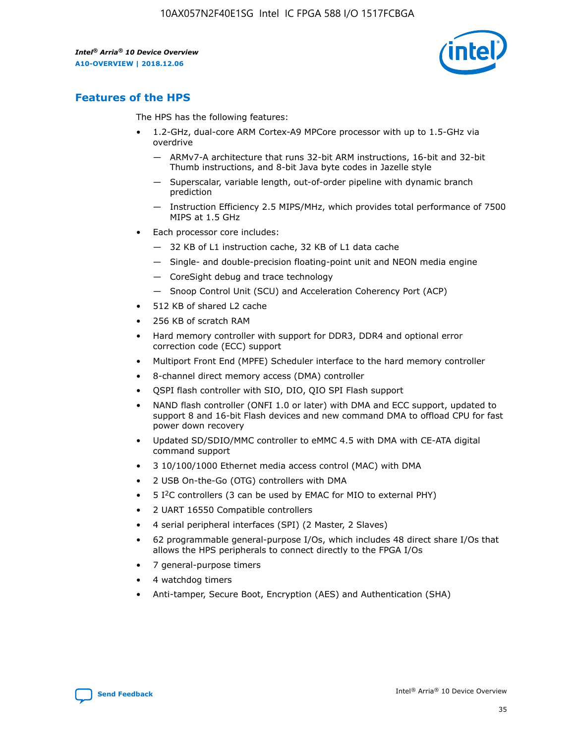

# **Features of the HPS**

The HPS has the following features:

- 1.2-GHz, dual-core ARM Cortex-A9 MPCore processor with up to 1.5-GHz via overdrive
	- ARMv7-A architecture that runs 32-bit ARM instructions, 16-bit and 32-bit Thumb instructions, and 8-bit Java byte codes in Jazelle style
	- Superscalar, variable length, out-of-order pipeline with dynamic branch prediction
	- Instruction Efficiency 2.5 MIPS/MHz, which provides total performance of 7500 MIPS at 1.5 GHz
- Each processor core includes:
	- 32 KB of L1 instruction cache, 32 KB of L1 data cache
	- Single- and double-precision floating-point unit and NEON media engine
	- CoreSight debug and trace technology
	- Snoop Control Unit (SCU) and Acceleration Coherency Port (ACP)
- 512 KB of shared L2 cache
- 256 KB of scratch RAM
- Hard memory controller with support for DDR3, DDR4 and optional error correction code (ECC) support
- Multiport Front End (MPFE) Scheduler interface to the hard memory controller
- 8-channel direct memory access (DMA) controller
- QSPI flash controller with SIO, DIO, QIO SPI Flash support
- NAND flash controller (ONFI 1.0 or later) with DMA and ECC support, updated to support 8 and 16-bit Flash devices and new command DMA to offload CPU for fast power down recovery
- Updated SD/SDIO/MMC controller to eMMC 4.5 with DMA with CE-ATA digital command support
- 3 10/100/1000 Ethernet media access control (MAC) with DMA
- 2 USB On-the-Go (OTG) controllers with DMA
- $\bullet$  5 I<sup>2</sup>C controllers (3 can be used by EMAC for MIO to external PHY)
- 2 UART 16550 Compatible controllers
- 4 serial peripheral interfaces (SPI) (2 Master, 2 Slaves)
- 62 programmable general-purpose I/Os, which includes 48 direct share I/Os that allows the HPS peripherals to connect directly to the FPGA I/Os
- 7 general-purpose timers
- 4 watchdog timers
- Anti-tamper, Secure Boot, Encryption (AES) and Authentication (SHA)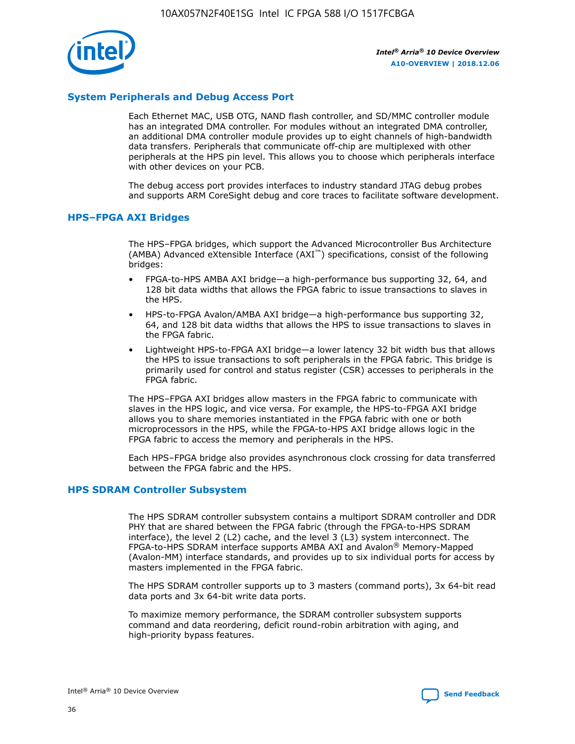

## **System Peripherals and Debug Access Port**

Each Ethernet MAC, USB OTG, NAND flash controller, and SD/MMC controller module has an integrated DMA controller. For modules without an integrated DMA controller, an additional DMA controller module provides up to eight channels of high-bandwidth data transfers. Peripherals that communicate off-chip are multiplexed with other peripherals at the HPS pin level. This allows you to choose which peripherals interface with other devices on your PCB.

The debug access port provides interfaces to industry standard JTAG debug probes and supports ARM CoreSight debug and core traces to facilitate software development.

## **HPS–FPGA AXI Bridges**

The HPS–FPGA bridges, which support the Advanced Microcontroller Bus Architecture (AMBA) Advanced eXtensible Interface (AXI™) specifications, consist of the following bridges:

- FPGA-to-HPS AMBA AXI bridge—a high-performance bus supporting 32, 64, and 128 bit data widths that allows the FPGA fabric to issue transactions to slaves in the HPS.
- HPS-to-FPGA Avalon/AMBA AXI bridge—a high-performance bus supporting 32, 64, and 128 bit data widths that allows the HPS to issue transactions to slaves in the FPGA fabric.
- Lightweight HPS-to-FPGA AXI bridge—a lower latency 32 bit width bus that allows the HPS to issue transactions to soft peripherals in the FPGA fabric. This bridge is primarily used for control and status register (CSR) accesses to peripherals in the FPGA fabric.

The HPS–FPGA AXI bridges allow masters in the FPGA fabric to communicate with slaves in the HPS logic, and vice versa. For example, the HPS-to-FPGA AXI bridge allows you to share memories instantiated in the FPGA fabric with one or both microprocessors in the HPS, while the FPGA-to-HPS AXI bridge allows logic in the FPGA fabric to access the memory and peripherals in the HPS.

Each HPS–FPGA bridge also provides asynchronous clock crossing for data transferred between the FPGA fabric and the HPS.

#### **HPS SDRAM Controller Subsystem**

The HPS SDRAM controller subsystem contains a multiport SDRAM controller and DDR PHY that are shared between the FPGA fabric (through the FPGA-to-HPS SDRAM interface), the level 2 (L2) cache, and the level 3 (L3) system interconnect. The FPGA-to-HPS SDRAM interface supports AMBA AXI and Avalon® Memory-Mapped (Avalon-MM) interface standards, and provides up to six individual ports for access by masters implemented in the FPGA fabric.

The HPS SDRAM controller supports up to 3 masters (command ports), 3x 64-bit read data ports and 3x 64-bit write data ports.

To maximize memory performance, the SDRAM controller subsystem supports command and data reordering, deficit round-robin arbitration with aging, and high-priority bypass features.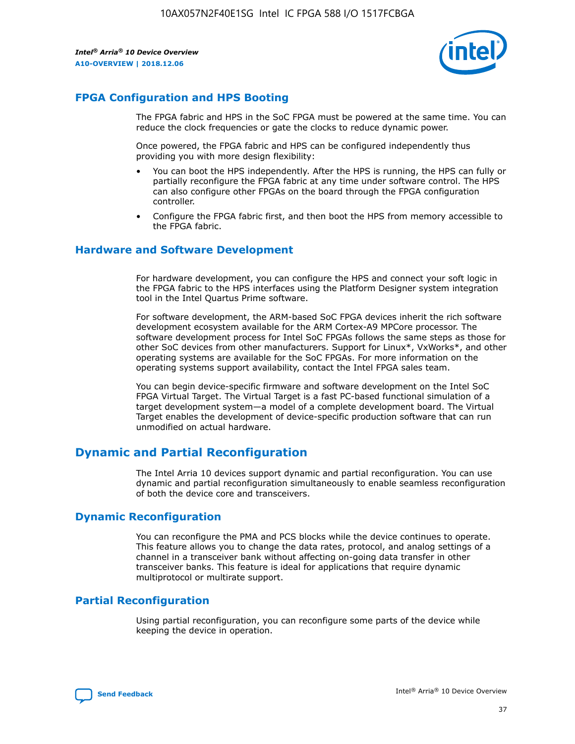

# **FPGA Configuration and HPS Booting**

The FPGA fabric and HPS in the SoC FPGA must be powered at the same time. You can reduce the clock frequencies or gate the clocks to reduce dynamic power.

Once powered, the FPGA fabric and HPS can be configured independently thus providing you with more design flexibility:

- You can boot the HPS independently. After the HPS is running, the HPS can fully or partially reconfigure the FPGA fabric at any time under software control. The HPS can also configure other FPGAs on the board through the FPGA configuration controller.
- Configure the FPGA fabric first, and then boot the HPS from memory accessible to the FPGA fabric.

## **Hardware and Software Development**

For hardware development, you can configure the HPS and connect your soft logic in the FPGA fabric to the HPS interfaces using the Platform Designer system integration tool in the Intel Quartus Prime software.

For software development, the ARM-based SoC FPGA devices inherit the rich software development ecosystem available for the ARM Cortex-A9 MPCore processor. The software development process for Intel SoC FPGAs follows the same steps as those for other SoC devices from other manufacturers. Support for Linux\*, VxWorks\*, and other operating systems are available for the SoC FPGAs. For more information on the operating systems support availability, contact the Intel FPGA sales team.

You can begin device-specific firmware and software development on the Intel SoC FPGA Virtual Target. The Virtual Target is a fast PC-based functional simulation of a target development system—a model of a complete development board. The Virtual Target enables the development of device-specific production software that can run unmodified on actual hardware.

# **Dynamic and Partial Reconfiguration**

The Intel Arria 10 devices support dynamic and partial reconfiguration. You can use dynamic and partial reconfiguration simultaneously to enable seamless reconfiguration of both the device core and transceivers.

# **Dynamic Reconfiguration**

You can reconfigure the PMA and PCS blocks while the device continues to operate. This feature allows you to change the data rates, protocol, and analog settings of a channel in a transceiver bank without affecting on-going data transfer in other transceiver banks. This feature is ideal for applications that require dynamic multiprotocol or multirate support.

# **Partial Reconfiguration**

Using partial reconfiguration, you can reconfigure some parts of the device while keeping the device in operation.

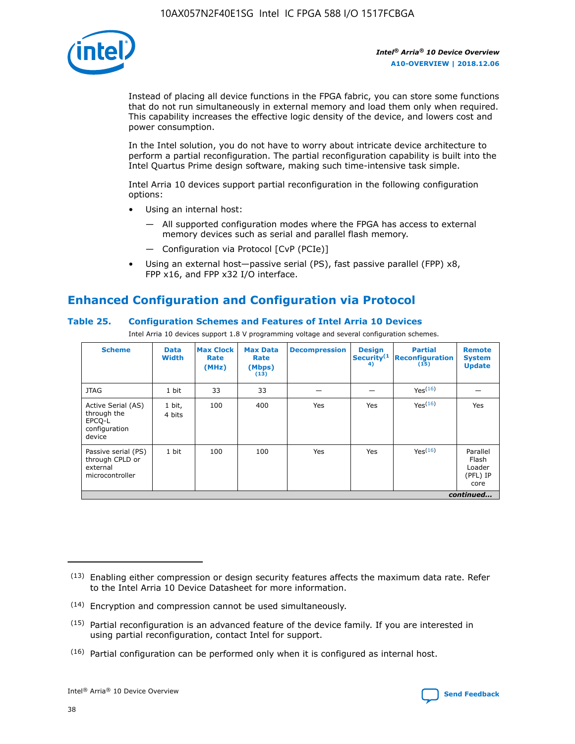

Instead of placing all device functions in the FPGA fabric, you can store some functions that do not run simultaneously in external memory and load them only when required. This capability increases the effective logic density of the device, and lowers cost and power consumption.

In the Intel solution, you do not have to worry about intricate device architecture to perform a partial reconfiguration. The partial reconfiguration capability is built into the Intel Quartus Prime design software, making such time-intensive task simple.

Intel Arria 10 devices support partial reconfiguration in the following configuration options:

- Using an internal host:
	- All supported configuration modes where the FPGA has access to external memory devices such as serial and parallel flash memory.
	- Configuration via Protocol [CvP (PCIe)]
- Using an external host—passive serial (PS), fast passive parallel (FPP) x8, FPP x16, and FPP x32 I/O interface.

# **Enhanced Configuration and Configuration via Protocol**

## **Table 25. Configuration Schemes and Features of Intel Arria 10 Devices**

Intel Arria 10 devices support 1.8 V programming voltage and several configuration schemes.

| <b>Scheme</b>                                                          | <b>Data</b><br><b>Width</b> | <b>Max Clock</b><br>Rate<br>(MHz) | <b>Max Data</b><br>Rate<br>(Mbps)<br>(13) | <b>Decompression</b> | <b>Design</b><br>Security <sup>(1</sup><br>4) | <b>Partial</b><br><b>Reconfiguration</b><br>(15) | <b>Remote</b><br><b>System</b><br><b>Update</b> |
|------------------------------------------------------------------------|-----------------------------|-----------------------------------|-------------------------------------------|----------------------|-----------------------------------------------|--------------------------------------------------|-------------------------------------------------|
| <b>JTAG</b>                                                            | 1 bit                       | 33                                | 33                                        |                      |                                               | Yes(16)                                          |                                                 |
| Active Serial (AS)<br>through the<br>EPCO-L<br>configuration<br>device | 1 bit,<br>4 bits            | 100                               | 400                                       | Yes                  | Yes                                           | $Y_{PS}(16)$                                     | Yes                                             |
| Passive serial (PS)<br>through CPLD or<br>external<br>microcontroller  | 1 bit                       | 100                               | 100                                       | Yes                  | Yes                                           | Yes(16)                                          | Parallel<br>Flash<br>Loader<br>(PFL) IP<br>core |
|                                                                        |                             |                                   |                                           |                      |                                               |                                                  | continued                                       |

<sup>(13)</sup> Enabling either compression or design security features affects the maximum data rate. Refer to the Intel Arria 10 Device Datasheet for more information.

<sup>(14)</sup> Encryption and compression cannot be used simultaneously.

 $(15)$  Partial reconfiguration is an advanced feature of the device family. If you are interested in using partial reconfiguration, contact Intel for support.

 $(16)$  Partial configuration can be performed only when it is configured as internal host.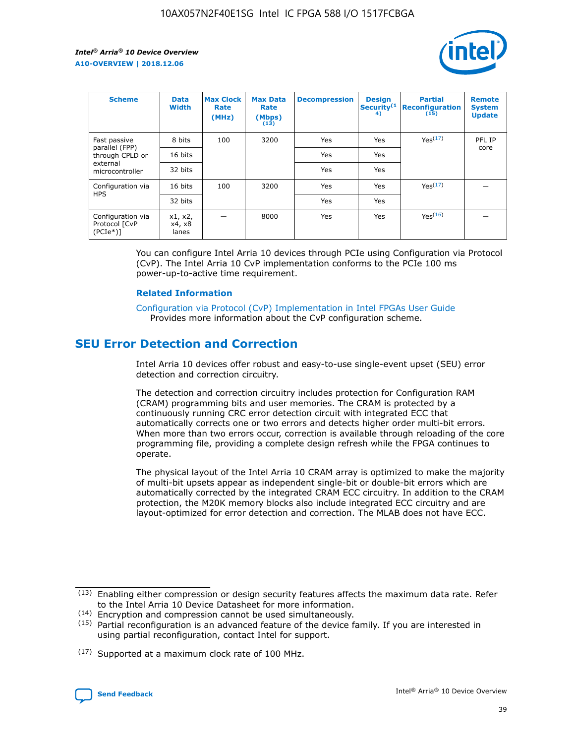

| <b>Scheme</b>                                    | <b>Data</b><br><b>Width</b> | <b>Max Clock</b><br>Rate<br>(MHz) | <b>Max Data</b><br>Rate<br>(Mbps)<br>(13) | <b>Decompression</b> | <b>Design</b><br>Security <sup>(1</sup><br>4) | <b>Partial</b><br><b>Reconfiguration</b><br>(15) | <b>Remote</b><br><b>System</b><br><b>Update</b> |
|--------------------------------------------------|-----------------------------|-----------------------------------|-------------------------------------------|----------------------|-----------------------------------------------|--------------------------------------------------|-------------------------------------------------|
| Fast passive                                     | 8 bits                      | 100                               | 3200                                      | Yes                  | Yes                                           | Yes(17)                                          | PFL IP                                          |
| parallel (FPP)<br>through CPLD or                | 16 bits                     |                                   |                                           | Yes                  | Yes                                           |                                                  | core                                            |
| external<br>microcontroller                      | 32 bits                     |                                   |                                           | Yes                  | Yes                                           |                                                  |                                                 |
| Configuration via                                | 16 bits                     | 100                               | 3200                                      | Yes                  | Yes                                           | Yes <sup>(17)</sup>                              |                                                 |
| <b>HPS</b>                                       | 32 bits                     |                                   |                                           | Yes                  | Yes                                           |                                                  |                                                 |
| Configuration via<br>Protocol [CvP<br>$(PCIe^*)$ | x1, x2,<br>x4, x8<br>lanes  |                                   | 8000                                      | Yes                  | Yes                                           | Yes(16)                                          |                                                 |

You can configure Intel Arria 10 devices through PCIe using Configuration via Protocol (CvP). The Intel Arria 10 CvP implementation conforms to the PCIe 100 ms power-up-to-active time requirement.

#### **Related Information**

[Configuration via Protocol \(CvP\) Implementation in Intel FPGAs User Guide](https://www.intel.com/content/www/us/en/programmable/documentation/dsu1441819344145.html#dsu1442269728522) Provides more information about the CvP configuration scheme.

# **SEU Error Detection and Correction**

Intel Arria 10 devices offer robust and easy-to-use single-event upset (SEU) error detection and correction circuitry.

The detection and correction circuitry includes protection for Configuration RAM (CRAM) programming bits and user memories. The CRAM is protected by a continuously running CRC error detection circuit with integrated ECC that automatically corrects one or two errors and detects higher order multi-bit errors. When more than two errors occur, correction is available through reloading of the core programming file, providing a complete design refresh while the FPGA continues to operate.

The physical layout of the Intel Arria 10 CRAM array is optimized to make the majority of multi-bit upsets appear as independent single-bit or double-bit errors which are automatically corrected by the integrated CRAM ECC circuitry. In addition to the CRAM protection, the M20K memory blocks also include integrated ECC circuitry and are layout-optimized for error detection and correction. The MLAB does not have ECC.

(14) Encryption and compression cannot be used simultaneously.

<sup>(17)</sup> Supported at a maximum clock rate of 100 MHz.



 $(13)$  Enabling either compression or design security features affects the maximum data rate. Refer to the Intel Arria 10 Device Datasheet for more information.

 $(15)$  Partial reconfiguration is an advanced feature of the device family. If you are interested in using partial reconfiguration, contact Intel for support.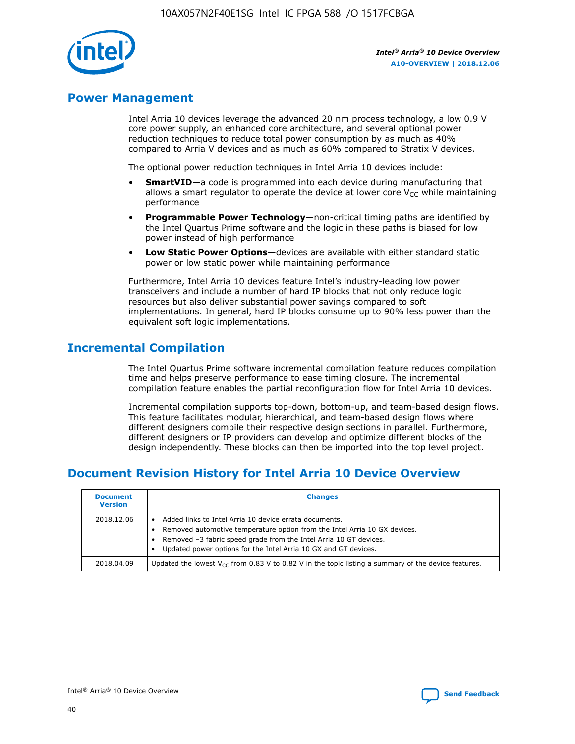

# **Power Management**

Intel Arria 10 devices leverage the advanced 20 nm process technology, a low 0.9 V core power supply, an enhanced core architecture, and several optional power reduction techniques to reduce total power consumption by as much as 40% compared to Arria V devices and as much as 60% compared to Stratix V devices.

The optional power reduction techniques in Intel Arria 10 devices include:

- **SmartVID**—a code is programmed into each device during manufacturing that allows a smart regulator to operate the device at lower core  $V_{CC}$  while maintaining performance
- **Programmable Power Technology**—non-critical timing paths are identified by the Intel Quartus Prime software and the logic in these paths is biased for low power instead of high performance
- **Low Static Power Options**—devices are available with either standard static power or low static power while maintaining performance

Furthermore, Intel Arria 10 devices feature Intel's industry-leading low power transceivers and include a number of hard IP blocks that not only reduce logic resources but also deliver substantial power savings compared to soft implementations. In general, hard IP blocks consume up to 90% less power than the equivalent soft logic implementations.

# **Incremental Compilation**

The Intel Quartus Prime software incremental compilation feature reduces compilation time and helps preserve performance to ease timing closure. The incremental compilation feature enables the partial reconfiguration flow for Intel Arria 10 devices.

Incremental compilation supports top-down, bottom-up, and team-based design flows. This feature facilitates modular, hierarchical, and team-based design flows where different designers compile their respective design sections in parallel. Furthermore, different designers or IP providers can develop and optimize different blocks of the design independently. These blocks can then be imported into the top level project.

# **Document Revision History for Intel Arria 10 Device Overview**

| <b>Document</b><br><b>Version</b> | <b>Changes</b>                                                                                                                                                                                                                                                              |
|-----------------------------------|-----------------------------------------------------------------------------------------------------------------------------------------------------------------------------------------------------------------------------------------------------------------------------|
| 2018.12.06                        | Added links to Intel Arria 10 device errata documents.<br>Removed automotive temperature option from the Intel Arria 10 GX devices.<br>Removed -3 fabric speed grade from the Intel Arria 10 GT devices.<br>Updated power options for the Intel Arria 10 GX and GT devices. |
| 2018.04.09                        | Updated the lowest $V_{CC}$ from 0.83 V to 0.82 V in the topic listing a summary of the device features.                                                                                                                                                                    |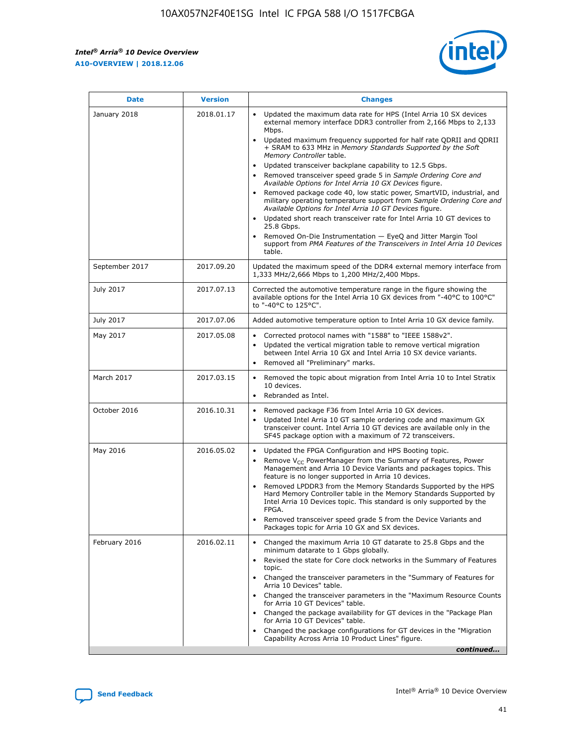*Intel® Arria® 10 Device Overview* **A10-OVERVIEW | 2018.12.06**



| <b>Date</b>    | <b>Version</b> | <b>Changes</b>                                                                                                                                                                                                                                                                                                                                                                                                                                                                                                                                                                                                                                                                                                                                                                                                                                                                                                                                                                         |
|----------------|----------------|----------------------------------------------------------------------------------------------------------------------------------------------------------------------------------------------------------------------------------------------------------------------------------------------------------------------------------------------------------------------------------------------------------------------------------------------------------------------------------------------------------------------------------------------------------------------------------------------------------------------------------------------------------------------------------------------------------------------------------------------------------------------------------------------------------------------------------------------------------------------------------------------------------------------------------------------------------------------------------------|
| January 2018   | 2018.01.17     | Updated the maximum data rate for HPS (Intel Arria 10 SX devices<br>external memory interface DDR3 controller from 2,166 Mbps to 2,133<br>Mbps.<br>Updated maximum frequency supported for half rate QDRII and QDRII<br>+ SRAM to 633 MHz in Memory Standards Supported by the Soft<br>Memory Controller table.<br>Updated transceiver backplane capability to 12.5 Gbps.<br>$\bullet$<br>Removed transceiver speed grade 5 in Sample Ordering Core and<br>$\bullet$<br>Available Options for Intel Arria 10 GX Devices figure.<br>Removed package code 40, low static power, SmartVID, industrial, and<br>military operating temperature support from Sample Ordering Core and<br>Available Options for Intel Arria 10 GT Devices figure.<br>Updated short reach transceiver rate for Intel Arria 10 GT devices to<br>25.8 Gbps.<br>Removed On-Die Instrumentation - EyeQ and Jitter Margin Tool<br>support from PMA Features of the Transceivers in Intel Arria 10 Devices<br>table. |
| September 2017 | 2017.09.20     | Updated the maximum speed of the DDR4 external memory interface from<br>1,333 MHz/2,666 Mbps to 1,200 MHz/2,400 Mbps.                                                                                                                                                                                                                                                                                                                                                                                                                                                                                                                                                                                                                                                                                                                                                                                                                                                                  |
| July 2017      | 2017.07.13     | Corrected the automotive temperature range in the figure showing the<br>available options for the Intel Arria 10 GX devices from "-40°C to 100°C"<br>to "-40°C to 125°C".                                                                                                                                                                                                                                                                                                                                                                                                                                                                                                                                                                                                                                                                                                                                                                                                              |
| July 2017      | 2017.07.06     | Added automotive temperature option to Intel Arria 10 GX device family.                                                                                                                                                                                                                                                                                                                                                                                                                                                                                                                                                                                                                                                                                                                                                                                                                                                                                                                |
| May 2017       | 2017.05.08     | Corrected protocol names with "1588" to "IEEE 1588v2".<br>$\bullet$<br>Updated the vertical migration table to remove vertical migration<br>$\bullet$<br>between Intel Arria 10 GX and Intel Arria 10 SX device variants.<br>Removed all "Preliminary" marks.<br>$\bullet$                                                                                                                                                                                                                                                                                                                                                                                                                                                                                                                                                                                                                                                                                                             |
| March 2017     | 2017.03.15     | Removed the topic about migration from Intel Arria 10 to Intel Stratix<br>$\bullet$<br>10 devices.<br>Rebranded as Intel.<br>$\bullet$                                                                                                                                                                                                                                                                                                                                                                                                                                                                                                                                                                                                                                                                                                                                                                                                                                                 |
| October 2016   | 2016.10.31     | Removed package F36 from Intel Arria 10 GX devices.<br>Updated Intel Arria 10 GT sample ordering code and maximum GX<br>$\bullet$<br>transceiver count. Intel Arria 10 GT devices are available only in the<br>SF45 package option with a maximum of 72 transceivers.                                                                                                                                                                                                                                                                                                                                                                                                                                                                                                                                                                                                                                                                                                                  |
| May 2016       | 2016.05.02     | Updated the FPGA Configuration and HPS Booting topic.<br>$\bullet$<br>Remove V <sub>CC</sub> PowerManager from the Summary of Features, Power<br>Management and Arria 10 Device Variants and packages topics. This<br>feature is no longer supported in Arria 10 devices.<br>Removed LPDDR3 from the Memory Standards Supported by the HPS<br>Hard Memory Controller table in the Memory Standards Supported by<br>Intel Arria 10 Devices topic. This standard is only supported by the<br>FPGA.<br>Removed transceiver speed grade 5 from the Device Variants and<br>Packages topic for Arria 10 GX and SX devices.                                                                                                                                                                                                                                                                                                                                                                   |
| February 2016  | 2016.02.11     | Changed the maximum Arria 10 GT datarate to 25.8 Gbps and the<br>minimum datarate to 1 Gbps globally.<br>Revised the state for Core clock networks in the Summary of Features<br>$\bullet$<br>topic.<br>Changed the transceiver parameters in the "Summary of Features for<br>$\bullet$<br>Arria 10 Devices" table.<br>• Changed the transceiver parameters in the "Maximum Resource Counts<br>for Arria 10 GT Devices" table.<br>Changed the package availability for GT devices in the "Package Plan<br>for Arria 10 GT Devices" table.<br>Changed the package configurations for GT devices in the "Migration"<br>Capability Across Arria 10 Product Lines" figure.<br>continued                                                                                                                                                                                                                                                                                                    |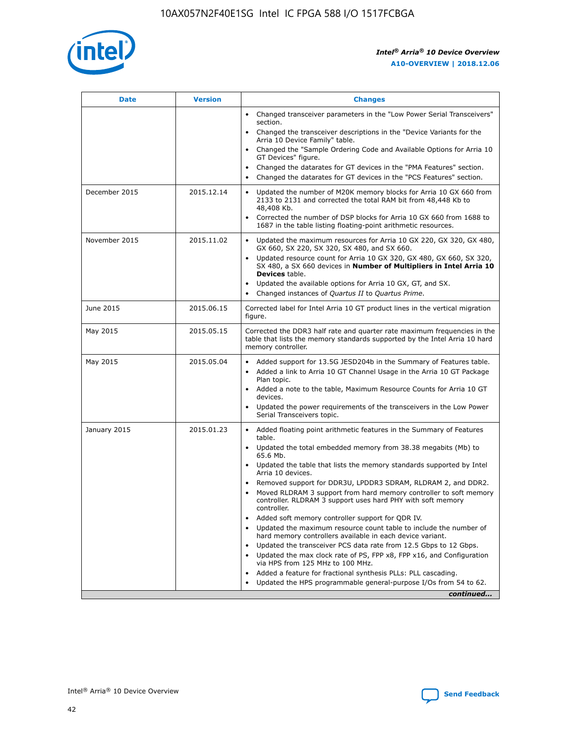

| <b>Date</b>   | <b>Version</b> | <b>Changes</b>                                                                                                                                                               |
|---------------|----------------|------------------------------------------------------------------------------------------------------------------------------------------------------------------------------|
|               |                | • Changed transceiver parameters in the "Low Power Serial Transceivers"<br>section.                                                                                          |
|               |                | • Changed the transceiver descriptions in the "Device Variants for the<br>Arria 10 Device Family" table.                                                                     |
|               |                | Changed the "Sample Ordering Code and Available Options for Arria 10<br>$\bullet$<br>GT Devices" figure.                                                                     |
|               |                | Changed the datarates for GT devices in the "PMA Features" section.                                                                                                          |
|               |                | Changed the datarates for GT devices in the "PCS Features" section.<br>$\bullet$                                                                                             |
| December 2015 | 2015.12.14     | Updated the number of M20K memory blocks for Arria 10 GX 660 from<br>2133 to 2131 and corrected the total RAM bit from 48,448 Kb to<br>48,408 Kb.                            |
|               |                | Corrected the number of DSP blocks for Arria 10 GX 660 from 1688 to<br>1687 in the table listing floating-point arithmetic resources.                                        |
| November 2015 | 2015.11.02     | Updated the maximum resources for Arria 10 GX 220, GX 320, GX 480,<br>$\bullet$<br>GX 660, SX 220, SX 320, SX 480, and SX 660.                                               |
|               |                | • Updated resource count for Arria 10 GX 320, GX 480, GX 660, SX 320,<br>SX 480, a SX 660 devices in Number of Multipliers in Intel Arria 10<br><b>Devices</b> table.        |
|               |                | Updated the available options for Arria 10 GX, GT, and SX.                                                                                                                   |
|               |                | Changed instances of Quartus II to Quartus Prime.<br>$\bullet$                                                                                                               |
| June 2015     | 2015.06.15     | Corrected label for Intel Arria 10 GT product lines in the vertical migration<br>figure.                                                                                     |
| May 2015      | 2015.05.15     | Corrected the DDR3 half rate and quarter rate maximum frequencies in the<br>table that lists the memory standards supported by the Intel Arria 10 hard<br>memory controller. |
| May 2015      | 2015.05.04     | • Added support for 13.5G JESD204b in the Summary of Features table.                                                                                                         |
|               |                | • Added a link to Arria 10 GT Channel Usage in the Arria 10 GT Package<br>Plan topic.                                                                                        |
|               |                | • Added a note to the table, Maximum Resource Counts for Arria 10 GT<br>devices.                                                                                             |
|               |                | • Updated the power requirements of the transceivers in the Low Power<br>Serial Transceivers topic.                                                                          |
| January 2015  | 2015.01.23     | • Added floating point arithmetic features in the Summary of Features<br>table.                                                                                              |
|               |                | • Updated the total embedded memory from 38.38 megabits (Mb) to<br>65.6 Mb.                                                                                                  |
|               |                | • Updated the table that lists the memory standards supported by Intel<br>Arria 10 devices.                                                                                  |
|               |                | Removed support for DDR3U, LPDDR3 SDRAM, RLDRAM 2, and DDR2.                                                                                                                 |
|               |                | Moved RLDRAM 3 support from hard memory controller to soft memory<br>controller. RLDRAM 3 support uses hard PHY with soft memory<br>controller.                              |
|               |                | Added soft memory controller support for QDR IV.<br>٠                                                                                                                        |
|               |                | Updated the maximum resource count table to include the number of<br>hard memory controllers available in each device variant.                                               |
|               |                | Updated the transceiver PCS data rate from 12.5 Gbps to 12 Gbps.<br>$\bullet$                                                                                                |
|               |                | Updated the max clock rate of PS, FPP x8, FPP x16, and Configuration<br>via HPS from 125 MHz to 100 MHz.                                                                     |
|               |                | Added a feature for fractional synthesis PLLs: PLL cascading.                                                                                                                |
|               |                | Updated the HPS programmable general-purpose I/Os from 54 to 62.<br>$\bullet$                                                                                                |
|               |                | continued                                                                                                                                                                    |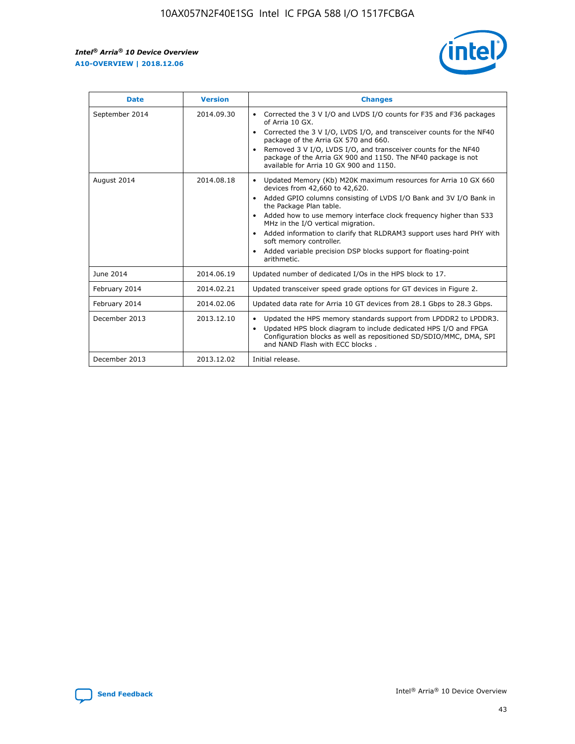r



| <b>Date</b>    | <b>Version</b> | <b>Changes</b>                                                                                                                                                                                                                                                                                                                                                                                                                                                                                                                                      |
|----------------|----------------|-----------------------------------------------------------------------------------------------------------------------------------------------------------------------------------------------------------------------------------------------------------------------------------------------------------------------------------------------------------------------------------------------------------------------------------------------------------------------------------------------------------------------------------------------------|
| September 2014 | 2014.09.30     | Corrected the 3 V I/O and LVDS I/O counts for F35 and F36 packages<br>$\bullet$<br>of Arria 10 GX.<br>Corrected the 3 V I/O, LVDS I/O, and transceiver counts for the NF40<br>$\bullet$<br>package of the Arria GX 570 and 660.<br>Removed 3 V I/O, LVDS I/O, and transceiver counts for the NF40<br>package of the Arria GX 900 and 1150. The NF40 package is not<br>available for Arria 10 GX 900 and 1150.                                                                                                                                       |
| August 2014    | 2014.08.18     | Updated Memory (Kb) M20K maximum resources for Arria 10 GX 660<br>devices from 42,660 to 42,620.<br>Added GPIO columns consisting of LVDS I/O Bank and 3V I/O Bank in<br>$\bullet$<br>the Package Plan table.<br>Added how to use memory interface clock frequency higher than 533<br>$\bullet$<br>MHz in the I/O vertical migration.<br>Added information to clarify that RLDRAM3 support uses hard PHY with<br>$\bullet$<br>soft memory controller.<br>Added variable precision DSP blocks support for floating-point<br>$\bullet$<br>arithmetic. |
| June 2014      | 2014.06.19     | Updated number of dedicated I/Os in the HPS block to 17.                                                                                                                                                                                                                                                                                                                                                                                                                                                                                            |
| February 2014  | 2014.02.21     | Updated transceiver speed grade options for GT devices in Figure 2.                                                                                                                                                                                                                                                                                                                                                                                                                                                                                 |
| February 2014  | 2014.02.06     | Updated data rate for Arria 10 GT devices from 28.1 Gbps to 28.3 Gbps.                                                                                                                                                                                                                                                                                                                                                                                                                                                                              |
| December 2013  | 2013.12.10     | Updated the HPS memory standards support from LPDDR2 to LPDDR3.<br>Updated HPS block diagram to include dedicated HPS I/O and FPGA<br>$\bullet$<br>Configuration blocks as well as repositioned SD/SDIO/MMC, DMA, SPI<br>and NAND Flash with ECC blocks.                                                                                                                                                                                                                                                                                            |
| December 2013  | 2013.12.02     | Initial release.                                                                                                                                                                                                                                                                                                                                                                                                                                                                                                                                    |